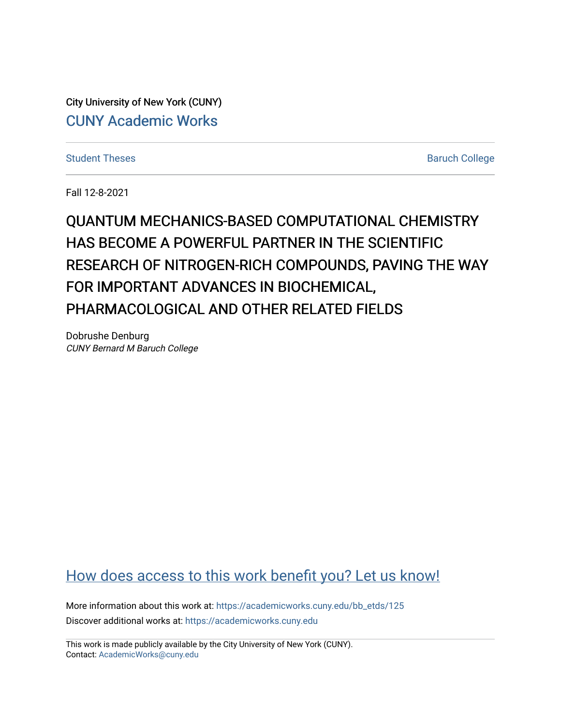City University of New York (CUNY) [CUNY Academic Works](https://academicworks.cuny.edu/) 

[Student Theses](https://academicworks.cuny.edu/bb_etds) **Baruch College** Baruch College

Fall 12-8-2021

**OUANTUM MECHANICS-BASED COMPUTATIONAL CHEMISTRY** HAS BECOME A POWERFUL PARTNER IN THE SCIENTIFIC RESEARCH OF NITROGEN-RICH COMPOUNDS, PAVING THE WAY FOR IMPORTANT ADVANCES IN BIOCHEMICAL. PHARMACOLOGICAL AND OTHER RELATED FIELDS

Dobrushe Denburg CUNY Bernard M Baruch College

# [How does access to this work benefit you? Let us know!](http://ols.cuny.edu/academicworks/?ref=https://academicworks.cuny.edu/bb_etds/125)

More information about this work at: [https://academicworks.cuny.edu/bb\\_etds/125](https://academicworks.cuny.edu/bb_etds/125) Discover additional works at: [https://academicworks.cuny.edu](https://academicworks.cuny.edu/?)

This work is made publicly available by the City University of New York (CUNY). Contact: [AcademicWorks@cuny.edu](mailto:AcademicWorks@cuny.edu)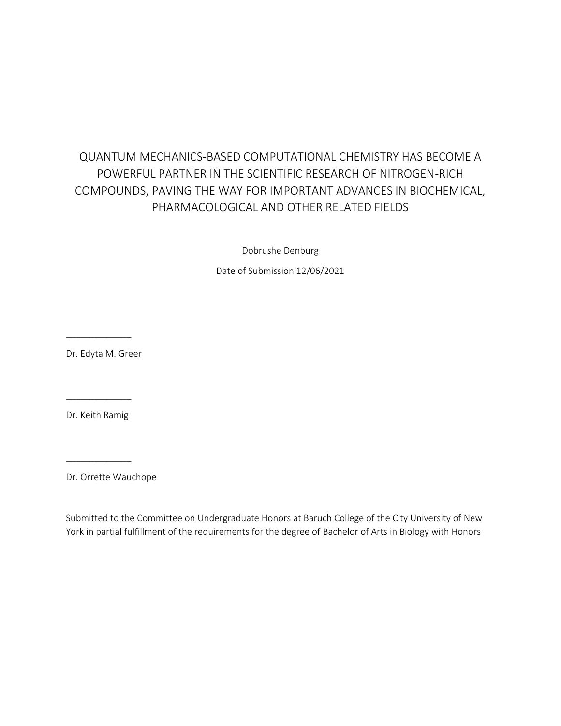# QUANTUM MECHANICS-BASED COMPUTATIONAL CHEMISTRY HAS BECOME A POWERFUL PARTNER IN THE SCIENTIFIC RESEARCH OF NITROGEN-RICH COMPOUNDS, PAVING THE WAY FOR IMPORTANT ADVANCES IN BIOCHEMICAL, PHARMACOLOGICAL AND OTHER RELATED FIELDS

Dobrushe Denburg

Date of Submission 12/06/2021

Dr. Edyta M. Greer

\_\_\_\_\_\_\_\_\_\_\_\_\_

Dr. Keith Ramig

\_\_\_\_\_\_\_\_\_\_\_\_\_

\_\_\_\_\_\_\_\_\_\_\_\_\_

Dr. Orrette Wauchope

Submitted to the Committee on Undergraduate Honors at Baruch College of the City University of New York in partial fulfillment of the requirements for the degree of Bachelor of Arts in Biology with Honors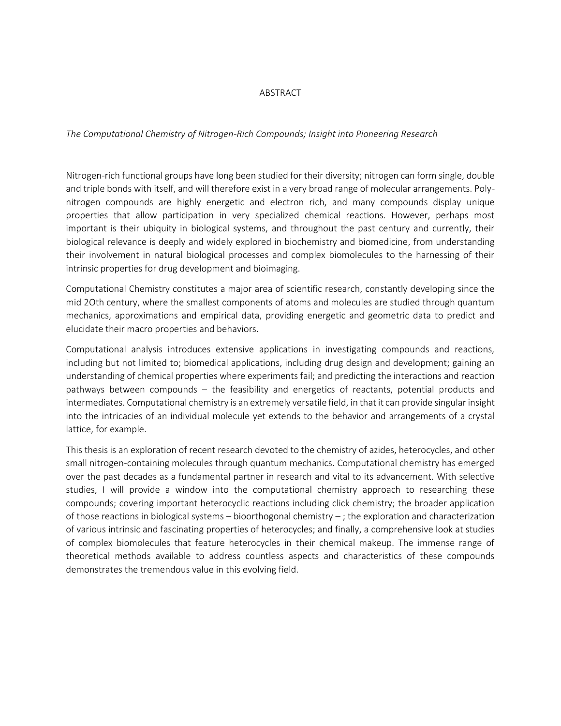#### ABSTRACT

#### *The Computational Chemistry of Nitrogen-Rich Compounds; Insight into Pioneering Research*

Nitrogen-rich functional groups have long been studied for their diversity; nitrogen can form single, double and triple bonds with itself, and will therefore exist in a very broad range of molecular arrangements. Polynitrogen compounds are highly energetic and electron rich, and many compounds display unique properties that allow participation in very specialized chemical reactions. However, perhaps most important is their ubiquity in biological systems, and throughout the past century and currently, their biological relevance is deeply and widely explored in biochemistry and biomedicine, from understanding their involvement in natural biological processes and complex biomolecules to the harnessing of their intrinsic properties for drug development and bioimaging.

Computational Chemistry constitutes a major area of scientific research, constantly developing since the mid 2Oth century, where the smallest components of atoms and molecules are studied through quantum mechanics, approximations and empirical data, providing energetic and geometric data to predict and elucidate their macro properties and behaviors.

Computational analysis introduces extensive applications in investigating compounds and reactions, including but not limited to; biomedical applications, including drug design and development; gaining an understanding of chemical properties where experiments fail; and predicting the interactions and reaction pathways between compounds – the feasibility and energetics of reactants, potential products and intermediates. Computational chemistry is an extremely versatile field, in that it can provide singular insight into the intricacies of an individual molecule yet extends to the behavior and arrangements of a crystal lattice, for example.

This thesis is an exploration of recent research devoted to the chemistry of azides, heterocycles, and other small nitrogen-containing molecules through quantum mechanics. Computational chemistry has emerged over the past decades as a fundamental partner in research and vital to its advancement. With selective studies, I will provide a window into the computational chemistry approach to researching these compounds; covering important heterocyclic reactions including click chemistry; the broader application of those reactions in biological systems – bioorthogonal chemistry –; the exploration and characterization of various intrinsic and fascinating properties of heterocycles; and finally, a comprehensive look at studies of complex biomolecules that feature heterocycles in their chemical makeup. The immense range of theoretical methods available to address countless aspects and characteristics of these compounds demonstrates the tremendous value in this evolving field.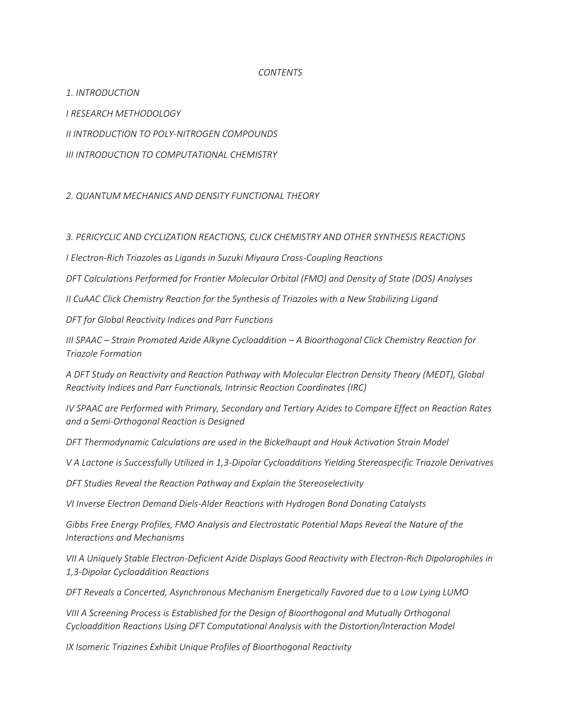#### *CONTENTS*

*1. INTRODUCTION*

*I RESEARCH METHODOLOGY*

*II INTRODUCTION TO POLY-NITROGEN COMPOUNDS*

*III INTRODUCTION TO COMPUTATIONAL CHEMISTRY*

*2. QUANTUM MECHANICS AND DENSITY FUNCTIONAL THEORY*

## *3. PERICYCLIC AND CYCLIZATION REACTIONS, CLICK CHEMISTRY AND OTHER SYNTHESIS REACTIONS*

*I Electron-Rich Triazoles as Ligands in Suzuki Miyaura Cross-Coupling Reactions*

*DFT Calculations Performed for Frontier Molecular Orbital (FMO) and Density of State (DOS) Analyses*

*II CuAAC Click Chemistry Reaction for the Synthesis of Triazoles with a New Stabilizing Ligand*

*DFT for Global Reactivity Indices and Parr Functions*

*III SPAAC – Strain Promoted Azide Alkyne Cycloaddition – A Bioorthogonal Click Chemistry Reaction for Triazole Formation*

*A DFT Study on Reactivity and Reaction Pathway with Molecular Electron Density Theory (MEDT), Global Reactivity Indices and Parr Functionals, Intrinsic Reaction Coordinates (IRC)* 

*IV SPAAC are Performed with Primary, Secondary and Tertiary Azides to Compare Effect on Reaction Rates and a Semi-Orthogonal Reaction is Designed*

*DFT Thermodynamic Calculations are used in the Bickelhaupt and Houk Activation Strain Model*

*V A Lactone is Successfully Utilized in 1,3-Dipolar Cycloadditions Yielding Stereospecific Triazole Derivatives*

*DFT Studies Reveal the Reaction Pathway and Explain the Stereoselectivity*

*VI Inverse Electron Demand Diels-Alder Reactions with Hydrogen Bond Donating Catalysts* 

*Gibbs Free Energy Profiles, FMO Analysis and Electrostatic Potential Maps Reveal the Nature of the Interactions and Mechanisms*

*VII A Uniquely Stable Electron-Deficient Azide Displays Good Reactivity with Electron-Rich Dipolarophiles in 1,3-Dipolar Cycloaddition Reactions*

*DFT Reveals a Concerted, Asynchronous Mechanism Energetically Favored due to a Low Lying LUMO*

*VIII A Screening Process is Established for the Design of Bioorthogonal and Mutually Orthogonal Cycloaddition Reactions Using DFT Computational Analysis with the Distortion/Interaction Model*

*IX Isomeric Triazines Exhibit Unique Profiles of Bioorthogonal Reactivity*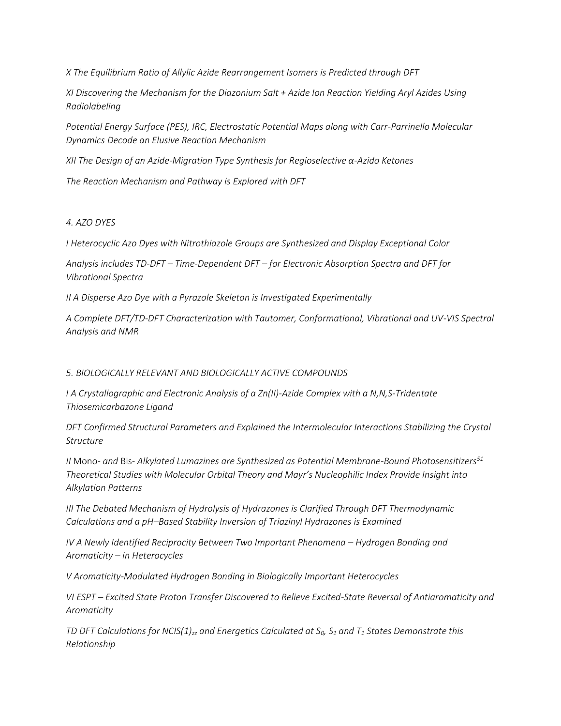*X The Equilibrium Ratio of Allylic Azide Rearrangement Isomers is Predicted through DFT*

*XI Discovering the Mechanism for the Diazonium Salt + Azide Ion Reaction Yielding Aryl Azides Using Radiolabeling*

*Potential Energy Surface (PES), IRC, Electrostatic Potential Maps along with Carr-Parrinello Molecular Dynamics Decode an Elusive Reaction Mechanism*

*XII The Design of an Azide-Migration Type Synthesis for Regioselective α-Azido Ketones* 

*The Reaction Mechanism and Pathway is Explored with DFT* 

## *4. AZO DYES*

*I Heterocyclic Azo Dyes with Nitrothiazole Groups are Synthesized and Display Exceptional Color* 

*Analysis includes TD-DFT – Time-Dependent DFT – for Electronic Absorption Spectra and DFT for Vibrational Spectra*

*II A Disperse Azo Dye with a Pyrazole Skeleton is Investigated Experimentally*

*A Complete DFT/TD-DFT Characterization with Tautomer, Conformational, Vibrational and UV-VIS Spectral Analysis and NMR*

## *5. BIOLOGICALLY RELEVANT AND BIOLOGICALLY ACTIVE COMPOUNDS*

*I A Crystallographic and Electronic Analysis of a Zn(II)-Azide Complex with a N,N,S-Tridentate Thiosemicarbazone Ligand*

*DFT Confirmed Structural Parameters and Explained the Intermolecular Interactions Stabilizing the Crystal Structure*

*II* Mono*- and* Bis*- Alkylated Lumazines are Synthesized as Potential Membrane-Bound Photosensitizers<sup>51</sup> Theoretical Studies with Molecular Orbital Theory and Mayr's Nucleophilic Index Provide Insight into Alkylation Patterns*

*III The Debated Mechanism of Hydrolysis of Hydrazones is Clarified Through DFT Thermodynamic Calculations and a pH–Based Stability Inversion of Triazinyl Hydrazones is Examined*

*IV* A Newly Identified Reciprocity Between Two Important Phenomena – Hydrogen Bonding and *Aromaticity – in Heterocycles*

*V Aromaticity-Modulated Hydrogen Bonding in Biologically Important Heterocycles*

*VI ESPT – Excited State Proton Transfer Discovered to Relieve Excited-State Reversal of Antiaromaticity and Aromaticity* 

*TD DFT Calculations for NCIS(1)zz and Energetics Calculated at S0, S<sup>1</sup> and T<sup>1</sup> States Demonstrate this Relationship*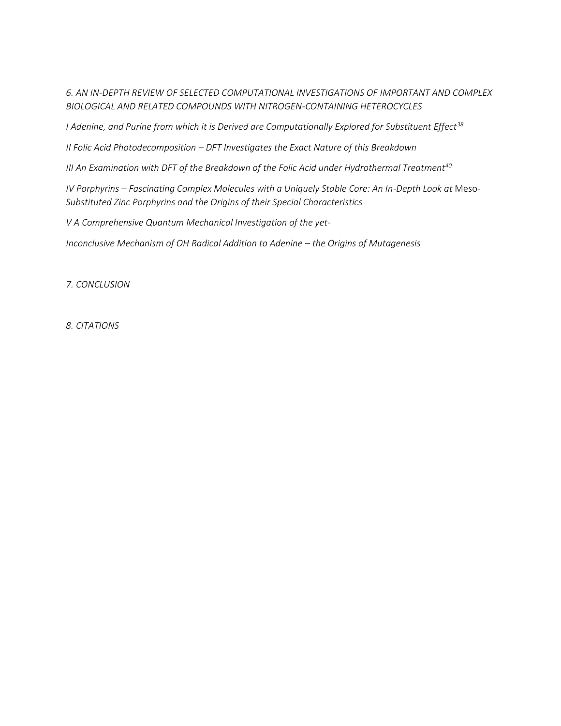*6. AN IN-DEPTH REVIEW OF SELECTED COMPUTATIONAL INVESTIGATIONS OF IMPORTANT AND COMPLEX BIOLOGICAL AND RELATED COMPOUNDS WITH NITROGEN-CONTAINING HETEROCYCLES* 

*I Adenine, and Purine from which it is Derived are Computationally Explored for Substituent Effect<sup>38</sup>*

*II Folic Acid Photodecomposition – DFT Investigates the Exact Nature of this Breakdown*

*III An Examination with DFT of the Breakdown of the Folic Acid under Hydrothermal Treatment<sup>40</sup>*

*IV Porphyrins – Fascinating Complex Molecules with a Uniquely Stable Core: An In-Depth Look at Meso-Substituted Zinc Porphyrins and the Origins of their Special Characteristics*

*V A Comprehensive Quantum Mechanical Investigation of the yet-*

*Inconclusive Mechanism of OH Radical Addition to Adenine – the Origins of Mutagenesis* 

*7. CONCLUSION*

*8. CITATIONS*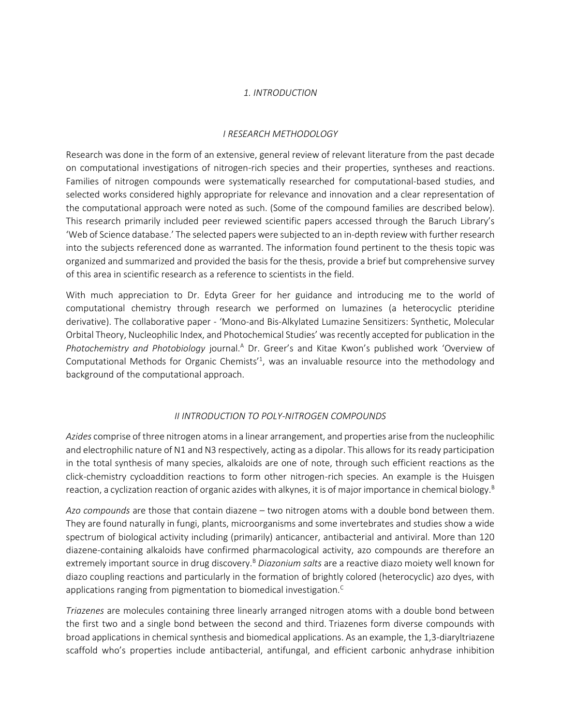#### *1. INTRODUCTION*

#### *I RESEARCH METHODOLOGY*

Research was done in the form of an extensive, general review of relevant literature from the past decade on computational investigations of nitrogen-rich species and their properties, syntheses and reactions. Families of nitrogen compounds were systematically researched for computational-based studies, and selected works considered highly appropriate for relevance and innovation and a clear representation of the computational approach were noted as such. (Some of the compound families are described below). This research primarily included peer reviewed scientific papers accessed through the Baruch Library's 'Web of Science database.' The selected papers were subjected to an in-depth review with further research into the subjects referenced done as warranted. The information found pertinent to the thesis topic was organized and summarized and provided the basis for the thesis, provide a brief but comprehensive survey of this area in scientific research as a reference to scientists in the field.

With much appreciation to Dr. Edyta Greer for her guidance and introducing me to the world of computational chemistry through research we performed on lumazines (a heterocyclic pteridine derivative). The collaborative paper - 'Mono-and Bis-Alkylated Lumazine Sensitizers: Synthetic, Molecular Orbital Theory, Nucleophilic Index, and Photochemical Studies' was recently accepted for publication in the Photochemistry and Photobiology journal.<sup>A</sup> Dr. Greer's and Kitae Kwon's published work 'Overview of Computational Methods for Organic Chemists<sup> $1$ </sup>, was an invaluable resource into the methodology and background of the computational approach.

#### *II INTRODUCTION TO POLY-NITROGEN COMPOUNDS*

*Azides* comprise of three nitrogen atoms in a linear arrangement, and properties arise from the nucleophilic and electrophilic nature of N1 and N3 respectively, acting as a dipolar. This allows for its ready participation in the total synthesis of many species, alkaloids are one of note, through such efficient reactions as the click-chemistry cycloaddition reactions to form other nitrogen-rich species. An example is the Huisgen reaction, a cyclization reaction of organic azides with alkynes, it is of major importance in chemical biology.<sup>B</sup>

*Azo compounds* are those that contain diazene – two nitrogen atoms with a double bond between them. They are found naturally in fungi, plants, microorganisms and some invertebrates and studies show a wide spectrum of biological activity including (primarily) anticancer, antibacterial and antiviral. More than 120 diazene-containing alkaloids have confirmed pharmacological activity, azo compounds are therefore an extremely important source in drug discovery.<sup>B</sup> Diazonium salts are a reactive diazo moiety well known for diazo coupling reactions and particularly in the formation of brightly colored (heterocyclic) azo dyes, with applications ranging from pigmentation to biomedical investigation.<sup>C</sup>

*Triazenes* are molecules containing three linearly arranged nitrogen atoms with a double bond between the first two and a single bond between the second and third. Triazenes form diverse compounds with broad applications in chemical synthesis and biomedical applications. As an example, the 1,3-diaryltriazene scaffold who's properties include antibacterial, antifungal, and efficient carbonic anhydrase inhibition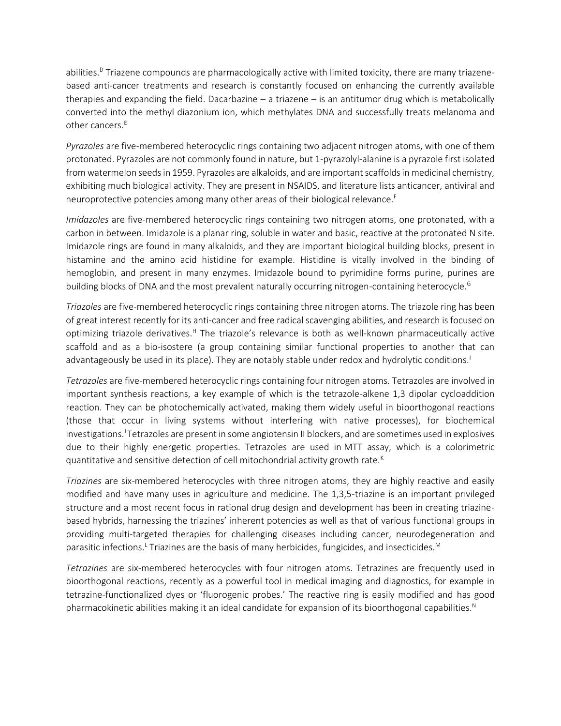abilities.<sup>D</sup> Triazene compounds are pharmacologically active with limited toxicity, there are many triazenebased anti-cancer treatments and research is constantly focused on enhancing the currently available therapies and expanding the field. Dacarbazine – a triazene – is an antitumor drug which is metabolically converted into the methyl diazonium ion, which methylates DNA and successfully treats melanoma and other cancers.<sup>E</sup>

*Pyrazoles* are five-membered heterocyclic rings containing two adjacent nitrogen atoms, with one of them protonated. Pyrazoles are not commonly found in nature, but 1-pyrazolyl-alanine is a pyrazole first isolated from watermelon seeds in 1959. Pyrazoles are alkaloids, and are important scaffolds in medicinal chemistry, exhibiting much biological activity. They are present in NSAIDS, and literature lists anticancer, antiviral and neuroprotective potencies among many other areas of their biological relevance.<sup>F</sup>

*Imidazoles* are five-membered heterocyclic rings containing two nitrogen atoms, one protonated, with a carbon in between. Imidazole is a planar ring, soluble in water and basic, reactive at the protonated N site. Imidazole rings are found in many alkaloids, and they are important biological building blocks, present in histamine and the amino acid histidine for example. Histidine is vitally involved in the binding of hemoglobin, and present in many enzymes. Imidazole bound to pyrimidine forms purine, purines are building blocks of DNA and the most prevalent naturally occurring nitrogen-containing heterocycle.<sup>G</sup>

*Triazoles* are five-membered heterocyclic rings containing three nitrogen atoms. The triazole ring has been of great interest recently for its anti-cancer and free radical scavenging abilities, and research is focused on optimizing triazole derivatives.<sup>H</sup> The triazole's relevance is both as well-known pharmaceutically active scaffold and as a bio-isostere (a group containing similar functional properties to another that can advantageously be used in its place). They are notably stable under redox and hydrolytic conditions.<sup>1</sup>

*Tetrazoles* are five-membered heterocyclic rings containing four nitrogen atoms. Tetrazoles are involved in important synthesis reactions, a key example of which is the tetrazole-alkene 1,3 dipolar cycloaddition reaction. They can be photochemically activated, making them widely useful in bioorthogonal reactions (those that occur in living systems without interfering with native processes), for biochemical investigations.<sup>J</sup>Tetrazoles are present in some angiotensin II blockers, and are sometimes used in explosives due to their highly energetic properties. Tetrazoles are used in MTT assay, which is a colorimetric quantitative and sensitive detection of cell mitochondrial activity growth rate.<sup>K</sup>

*Triazines* are six-membered heterocycles with three nitrogen atoms, they are highly reactive and easily modified and have many uses in agriculture and medicine. The 1,3,5-triazine is an important privileged structure and a most recent focus in rational drug design and development has been in creating triazinebased hybrids, harnessing the triazines' inherent potencies as well as that of various functional groups in providing multi-targeted therapies for challenging diseases including cancer, neurodegeneration and parasitic infections.<sup>L</sup> Triazines are the basis of many herbicides, fungicides, and insecticides.<sup>M</sup>

*Tetrazines* are six-membered heterocycles with four nitrogen atoms. Tetrazines are frequently used in bioorthogonal reactions, recently as a powerful tool in medical imaging and diagnostics, for example in tetrazine-functionalized dyes or 'fluorogenic probes.' The reactive ring is easily modified and has good pharmacokinetic abilities making it an ideal candidate for expansion of its bioorthogonal capabilities.<sup>N</sup>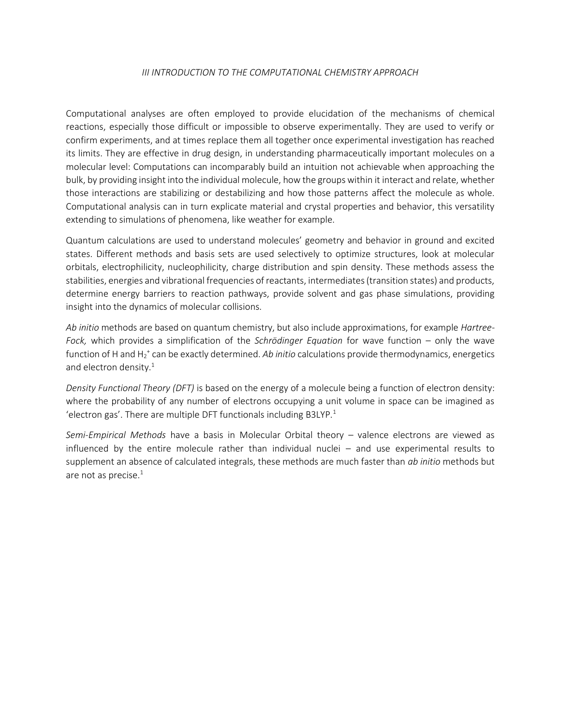## *III INTRODUCTION TO THE COMPUTATIONAL CHEMISTRY APPROACH*

Computational analyses are often employed to provide elucidation of the mechanisms of chemical reactions, especially those difficult or impossible to observe experimentally. They are used to verify or confirm experiments, and at times replace them all together once experimental investigation has reached its limits. They are effective in drug design, in understanding pharmaceutically important molecules on a molecular level: Computations can incomparably build an intuition not achievable when approaching the bulk, by providing insight into the individual molecule, how the groups within it interact and relate, whether those interactions are stabilizing or destabilizing and how those patterns affect the molecule as whole. Computational analysis can in turn explicate material and crystal properties and behavior, this versatility extending to simulations of phenomena, like weather for example.

Quantum calculations are used to understand molecules' geometry and behavior in ground and excited states. Different methods and basis sets are used selectively to optimize structures, look at molecular orbitals, electrophilicity, nucleophilicity, charge distribution and spin density. These methods assess the stabilities, energies and vibrational frequencies of reactants, intermediates (transition states) and products, determine energy barriers to reaction pathways, provide solvent and gas phase simulations, providing insight into the dynamics of molecular collisions.

*Ab initio* methods are based on quantum chemistry, but also include approximations, for example *Hartree-Fock,* which provides a simplification of the *Schrödinger Equation* for wave function – only the wave function of H and H<sub>2</sub><sup>+</sup> can be exactly determined. Ab initio calculations provide thermodynamics, energetics and electron density.<sup>1</sup>

*Density Functional Theory (DFT)* is based on the energy of a molecule being a function of electron density: where the probability of any number of electrons occupying a unit volume in space can be imagined as 'electron gas'. There are multiple DFT functionals including B3LYP. $1$ 

*Semi-Empirical Methods* have a basis in Molecular Orbital theory – valence electrons are viewed as influenced by the entire molecule rather than individual nuclei – and use experimental results to supplement an absence of calculated integrals, these methods are much faster than *ab initio* methods but are not as precise.<sup>1</sup>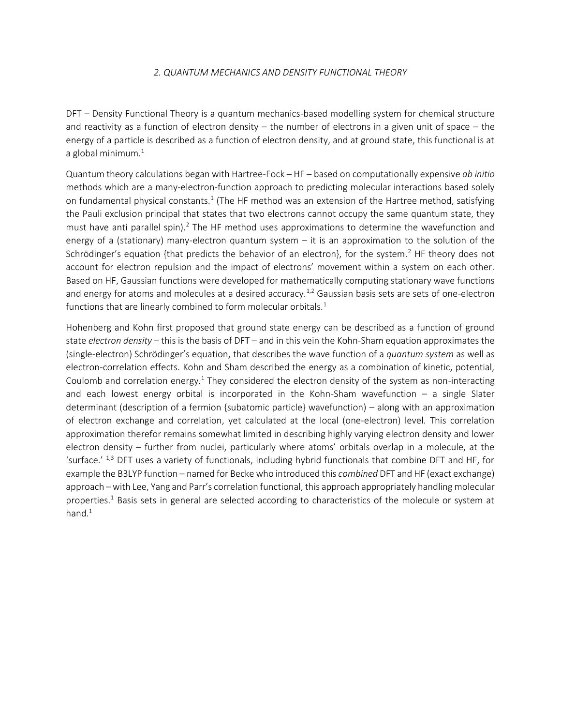#### *2. QUANTUM MECHANICS AND DENSITY FUNCTIONAL THEORY*

DFT – Density Functional Theory is a quantum mechanics-based modelling system for chemical structure and reactivity as a function of electron density – the number of electrons in a given unit of space – the energy of a particle is described as a function of electron density, and at ground state, this functional is at a global minimum. $<sup>1</sup>$ </sup>

Quantum theory calculations began with Hartree-Fock – HF – based on computationally expensive *ab initio* methods which are a many-electron-function approach to predicting molecular interactions based solely on fundamental physical constants.<sup>1</sup> (The HF method was an extension of the Hartree method, satisfying the Pauli exclusion principal that states that two electrons cannot occupy the same quantum state, they must have anti parallel spin).<sup>2</sup> The HF method uses approximations to determine the wavefunction and energy of a (stationary) many-electron quantum system – it is an approximation to the solution of the Schrödinger's equation {that predicts the behavior of an electron}, for the system.<sup>2</sup> HF theory does not account for electron repulsion and the impact of electrons' movement within a system on each other. Based on HF, Gaussian functions were developed for mathematically computing stationary wave functions and energy for atoms and molecules at a desired accuracy.<sup>1,2</sup> Gaussian basis sets are sets of one-electron functions that are linearly combined to form molecular orbitals.<sup>1</sup>

Hohenberg and Kohn first proposed that ground state energy can be described as a function of ground state *electron density* – this is the basis of DFT – and in this vein the Kohn-Sham equation approximates the (single-electron) Schrödinger's equation, that describes the wave function of a *quantum system* as well as electron-correlation effects. Kohn and Sham described the energy as a combination of kinetic, potential, Coulomb and correlation energy.<sup>1</sup> They considered the electron density of the system as non-interacting and each lowest energy orbital is incorporated in the Kohn-Sham wavefunction  $-$  a single Slater determinant (description of a fermion {subatomic particle} wavefunction) – along with an approximation of electron exchange and correlation, yet calculated at the local (one-electron) level. This correlation approximation therefor remains somewhat limited in describing highly varying electron density and lower electron density – further from nuclei, particularly where atoms' orbitals overlap in a molecule, at the 'surface.' 1,3 DFT uses a variety of functionals, including hybrid functionals that combine DFT and HF, for example the B3LYP function – named for Becke who introduced this *combined* DFT and HF (exact exchange) approach – with Lee, Yang and Parr's correlation functional, this approach appropriately handling molecular properties.<sup>1</sup> Basis sets in general are selected according to characteristics of the molecule or system at hand. $1$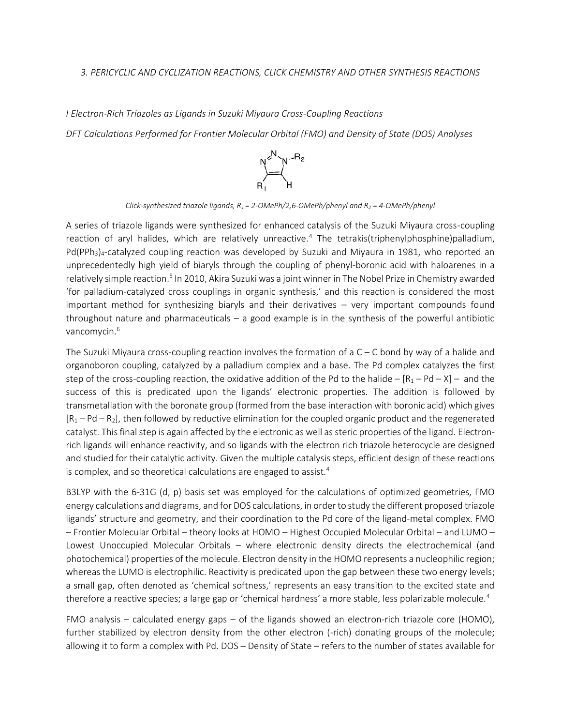#### *3. PERICYCLIC AND CYCLIZATION REACTIONS, CLICK CHEMISTRY AND OTHER SYNTHESIS REACTIONS*

*I Electron-Rich Triazoles as Ligands in Suzuki Miyaura Cross-Coupling Reactions DFT Calculations Performed for Frontier Molecular Orbital (FMO) and Density of State (DOS) Analyses*



*Click-synthesized triazole ligands, R<sup>1</sup> = 2-OMePh/2,6-OMePh/phenyl and R<sup>2</sup> = 4-OMePh/phenyl*

A series of triazole ligands were synthesized for enhanced catalysis of the Suzuki Miyaura cross-coupling reaction of aryl halides, which are relatively unreactive.<sup>4</sup> The tetrakis(triphenylphosphine)palladium, Pd(PPh<sub>3</sub>)<sub>4</sub>-catalyzed coupling reaction was developed by Suzuki and Miyaura in 1981, who reported an unprecedentedly high yield of biaryls through the coupling of phenyl-boronic acid with haloarenes in a relatively simple reaction.<sup>5</sup> In 2010, Akira Suzuki was a joint winner in The Nobel Prize in Chemistry awarded 'for palladium-catalyzed cross couplings in organic synthesis,' and this reaction is considered the most important method for synthesizing biaryls and their derivatives – very important compounds found throughout nature and pharmaceuticals – a good example is in the synthesis of the powerful antibiotic vancomycin.<sup>6</sup>

The Suzuki Miyaura cross-coupling reaction involves the formation of a  $C - C$  bond by way of a halide and organoboron coupling, catalyzed by a palladium complex and a base. The Pd complex catalyzes the first step of the cross-coupling reaction, the oxidative addition of the Pd to the halide –  $[R_1 - Pd - X]$  – and the success of this is predicated upon the ligands' electronic properties. The addition is followed by transmetallation with the boronate group (formed from the base interaction with boronic acid) which gives  $[R_1 - Pd - R_2]$ , then followed by reductive elimination for the coupled organic product and the regenerated catalyst. This final step is again affected by the electronic as well as steric properties of the ligand. Electronrich ligands will enhance reactivity, and so ligands with the electron rich triazole heterocycle are designed and studied for their catalytic activity. Given the multiple catalysis steps, efficient design of these reactions is complex, and so theoretical calculations are engaged to assist. $4$ 

B3LYP with the 6-31G (d, p) basis set was employed for the calculations of optimized geometries, FMO energy calculations and diagrams, and for DOS calculations, in order to study the different proposed triazole ligands' structure and geometry, and their coordination to the Pd core of the ligand-metal complex. FMO – Frontier Molecular Orbital – theory looks at HOMO – Highest Occupied Molecular Orbital – and LUMO – Lowest Unoccupied Molecular Orbitals – where electronic density directs the electrochemical (and photochemical) properties of the molecule. Electron density in the HOMO represents a nucleophilic region; whereas the LUMO is electrophilic. Reactivity is predicated upon the gap between these two energy levels; a small gap, often denoted as 'chemical softness,' represents an easy transition to the excited state and therefore a reactive species; a large gap or 'chemical hardness' a more stable, less polarizable molecule.<sup>4</sup>

FMO analysis – calculated energy gaps – of the ligands showed an electron-rich triazole core (HOMO), further stabilized by electron density from the other electron (-rich) donating groups of the molecule; allowing it to form a complex with Pd. DOS – Density of State – refers to the number of states available for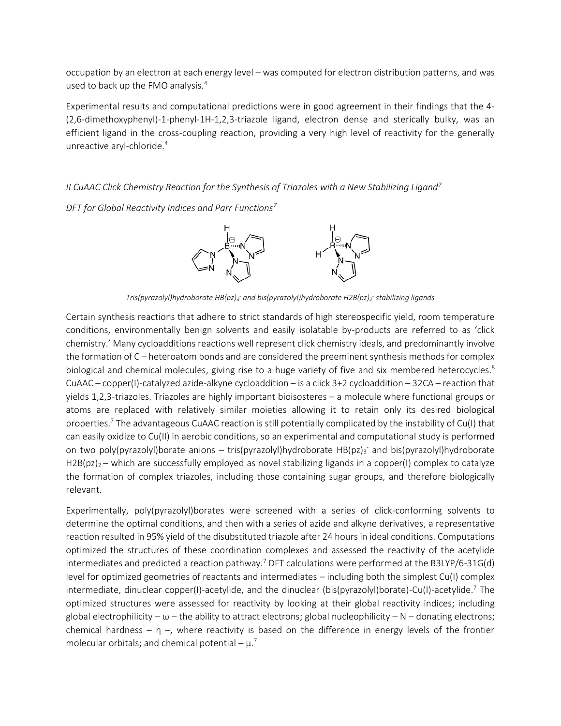occupation by an electron at each energy level – was computed for electron distribution patterns, and was used to back up the FMO analysis.<sup>4</sup>

Experimental results and computational predictions were in good agreement in their findings that the 4- (2,6-dimethoxyphenyl)-1-phenyl-1H-1,2,3-triazole ligand, electron dense and sterically bulky, was an efficient ligand in the cross-coupling reaction, providing a very high level of reactivity for the generally unreactive aryl-chloride.<sup>4</sup>

*II CuAAC Click Chemistry Reaction for the Synthesis of Triazoles with a New Stabilizing Ligand<sup>7</sup>*

*DFT for Global Reactivity Indices and Parr Functions<sup>7</sup>*



*Tris(pyrazolyl)hydroborate HB(pz)<sup>3</sup> - and bis(pyrazolyl)hydroborate H2B(pz)<sup>2</sup> - stabilizing ligands*

Certain synthesis reactions that adhere to strict standards of high stereospecific yield, room temperature conditions, environmentally benign solvents and easily isolatable by-products are referred to as 'click chemistry.' Many cycloadditions reactions well represent click chemistry ideals, and predominantly involve the formation of C – heteroatom bonds and are considered the preeminent synthesis methods for complex biological and chemical molecules, giving rise to a huge variety of five and six membered heterocycles.<sup>8</sup> CuAAC – copper(I)-catalyzed azide-alkyne cycloaddition – is a click 3+2 cycloaddition – 32CA – reaction that yields 1,2,3-triazoles. Triazoles are highly important bioisosteres – a molecule where functional groups or atoms are replaced with relatively similar moieties allowing it to retain only its desired biological properties. <sup>7</sup> The advantageous CuAAC reaction is still potentially complicated by the instability of Cu(I) that can easily oxidize to Cu(II) in aerobic conditions, so an experimental and computational study is performed on two poly(pyrazolyl)borate anions – tris(pyrazolyl)hydroborate HB(pz)<sub>3</sub><sup>-</sup> and bis(pyrazolyl)hydroborate H2B(pz)<sub>2</sub> - which are successfully employed as novel stabilizing ligands in a copper(I) complex to catalyze the formation of complex triazoles, including those containing sugar groups, and therefore biologically relevant.

Experimentally, poly(pyrazolyl)borates were screened with a series of click-conforming solvents to determine the optimal conditions, and then with a series of azide and alkyne derivatives, a representative reaction resulted in 95% yield of the disubstituted triazole after 24 hours in ideal conditions. Computations optimized the structures of these coordination complexes and assessed the reactivity of the acetylide intermediates and predicted a reaction pathway.<sup>7</sup> DFT calculations were performed at the B3LYP/6-31G(d) level for optimized geometries of reactants and intermediates – including both the simplest Cu(I) complex intermediate, dinuclear copper(I)-acetylide, and the dinuclear (bis(pyrazolyl)borate)-Cu(I)-acetylide.<sup>7</sup> The optimized structures were assessed for reactivity by looking at their global reactivity indices; including global electrophilicity –  $\omega$  – the ability to attract electrons; global nucleophilicity – N – donating electrons; chemical hardness – η –, where reactivity is based on the difference in energy levels of the frontier molecular orbitals; and chemical potential –  $\mu$ <sup>7</sup>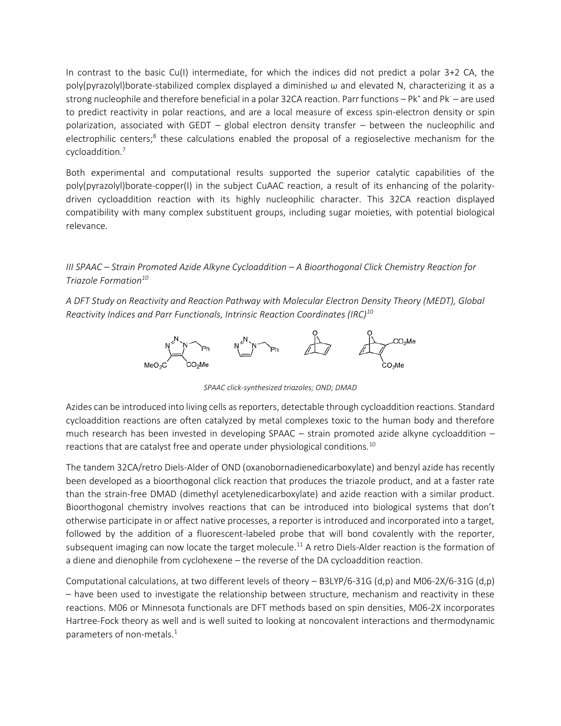In contrast to the basic Cu(I) intermediate, for which the indices did not predict a polar 3+2 CA, the poly(pyrazolyl)borate-stabilized complex displayed a diminished ω and elevated N, characterizing it as a strong nucleophile and therefore beneficial in a polar 32CA reaction. Parr functions - Pk<sup>+</sup> and Pk - are used to predict reactivity in polar reactions, and are a local measure of excess spin-electron density or spin polarization, associated with GEDT – global electron density transfer – between the nucleophilic and electrophilic centers;<sup>8</sup> these calculations enabled the proposal of a regioselective mechanism for the cycloaddition.<sup>7</sup>

Both experimental and computational results supported the superior catalytic capabilities of the poly(pyrazolyl)borate-copper(I) in the subject CuAAC reaction, a result of its enhancing of the polaritydriven cycloaddition reaction with its highly nucleophilic character. This 32CA reaction displayed compatibility with many complex substituent groups, including sugar moieties, with potential biological relevance.

# *III SPAAC – Strain Promoted Azide Alkyne Cycloaddition – A Bioorthogonal Click Chemistry Reaction for Triazole Formation<sup>10</sup>*

*A DFT Study on Reactivity and Reaction Pathway with Molecular Electron Density Theory (MEDT), Global Reactivity Indices and Parr Functionals, Intrinsic Reaction Coordinates (IRC)<sup>10</sup>*



*SPAAC click-synthesized triazoles; OND; DMAD*

Azides can be introduced into living cells as reporters, detectable through cycloaddition reactions. Standard cycloaddition reactions are often catalyzed by metal complexes toxic to the human body and therefore much research has been invested in developing SPAAC – strain promoted azide alkyne cycloaddition – reactions that are catalyst free and operate under physiological conditions.<sup>10</sup>

The tandem 32CA/retro Diels-Alder of OND (oxanobornadienedicarboxylate) and benzyl azide has recently been developed as a bioorthogonal click reaction that produces the triazole product, and at a faster rate than the strain-free DMAD (dimethyl acetylenedicarboxylate) and azide reaction with a similar product. Bioorthogonal chemistry involves reactions that can be introduced into biological systems that don't otherwise participate in or affect native processes, a reporter is introduced and incorporated into a target, followed by the addition of a fluorescent-labeled probe that will bond covalently with the reporter, subsequent imaging can now locate the target molecule.<sup>11</sup> A retro Diels-Alder reaction is the formation of a diene and dienophile from cyclohexene – the reverse of the DA cycloaddition reaction.

Computational calculations, at two different levels of theory – B3LYP/6-31G (d,p) and M06-2X/6-31G (d,p) – have been used to investigate the relationship between structure, mechanism and reactivity in these reactions. M06 or Minnesota functionals are DFT methods based on spin densities, M06-2X incorporates Hartree-Fock theory as well and is well suited to looking at noncovalent interactions and thermodynamic parameters of non-metals.<sup>1</sup>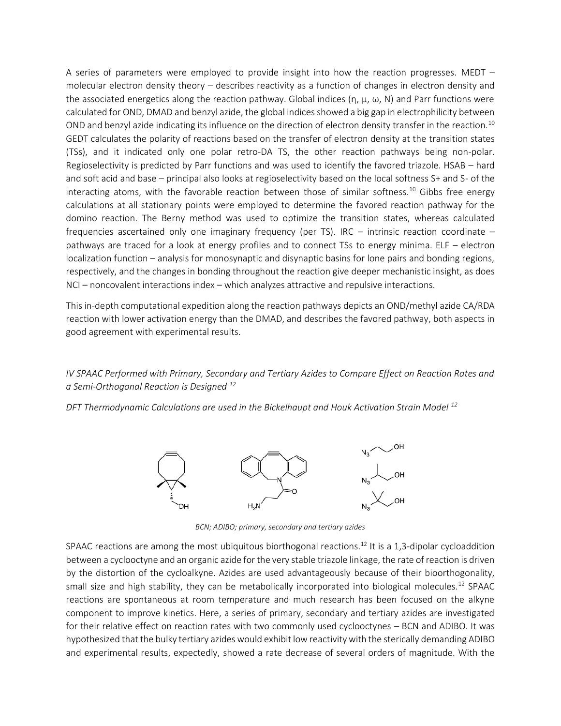A series of parameters were employed to provide insight into how the reaction progresses. MEDT – molecular electron density theory – describes reactivity as a function of changes in electron density and the associated energetics along the reaction pathway. Global indices  $(η, μ, ω, N)$  and Parr functions were calculated for OND, DMAD and benzyl azide, the global indices showed a big gap in electrophilicity between OND and benzyl azide indicating its influence on the direction of electron density transfer in the reaction.<sup>10</sup> GEDT calculates the polarity of reactions based on the transfer of electron density at the transition states (TSs), and it indicated only one polar retro-DA TS, the other reaction pathways being non-polar. Regioselectivity is predicted by Parr functions and was used to identify the favored triazole. HSAB – hard and soft acid and base – principal also looks at regioselectivity based on the local softness S+ and S- of the interacting atoms, with the favorable reaction between those of similar softness.<sup>10</sup> Gibbs free energy calculations at all stationary points were employed to determine the favored reaction pathway for the domino reaction. The Berny method was used to optimize the transition states, whereas calculated frequencies ascertained only one imaginary frequency (per TS). IRC – intrinsic reaction coordinate – pathways are traced for a look at energy profiles and to connect TSs to energy minima. ELF – electron localization function – analysis for monosynaptic and disynaptic basins for lone pairs and bonding regions, respectively, and the changes in bonding throughout the reaction give deeper mechanistic insight, as does NCI – noncovalent interactions index – which analyzes attractive and repulsive interactions.

This in-depth computational expedition along the reaction pathways depicts an OND/methyl azide CA/RDA reaction with lower activation energy than the DMAD, and describes the favored pathway, both aspects in good agreement with experimental results.

*IV SPAAC Performed with Primary, Secondary and Tertiary Azides to Compare Effect on Reaction Rates and a Semi-Orthogonal Reaction is Designed <sup>12</sup>*

*DFT Thermodynamic Calculations are used in the Bickelhaupt and Houk Activation Strain Model <sup>12</sup>*



*BCN; ADIBO; primary, secondary and tertiary azides*

SPAAC reactions are among the most ubiquitous biorthogonal reactions.<sup>12</sup> It is a 1,3-dipolar cycloaddition between a cyclooctyne and an organic azide for the very stable triazole linkage, the rate of reaction is driven by the distortion of the cycloalkyne. Azides are used advantageously because of their bioorthogonality, small size and high stability, they can be metabolically incorporated into biological molecules.<sup>12</sup> SPAAC reactions are spontaneous at room temperature and much research has been focused on the alkyne component to improve kinetics. Here, a series of primary, secondary and tertiary azides are investigated for their relative effect on reaction rates with two commonly used cyclooctynes – BCN and ADIBO. It was hypothesized that the bulky tertiary azides would exhibit low reactivity with the sterically demanding ADIBO and experimental results, expectedly, showed a rate decrease of several orders of magnitude. With the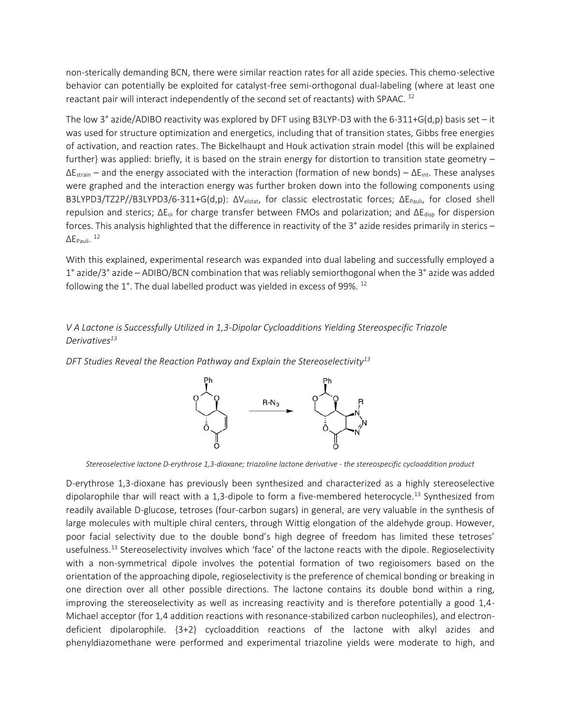non-sterically demanding BCN, there were similar reaction rates for all azide species. This chemo-selective behavior can potentially be exploited for catalyst-free semi-orthogonal dual-labeling (where at least one reactant pair will interact independently of the second set of reactants) with SPAAC. <sup>12</sup>

The low 3° azide/ADIBO reactivity was explored by DFT using B3LYP-D3 with the 6-311+G(d,p) basis set – it was used for structure optimization and energetics, including that of transition states, Gibbs free energies of activation, and reaction rates. The Bickelhaupt and Houk activation strain model {this will be explained further} was applied: briefly, it is based on the strain energy for distortion to transition state geometry –  $\Delta E_{strain}$  – and the energy associated with the interaction (formation of new bonds) –  $\Delta E_{int}$ . These analyses were graphed and the interaction energy was further broken down into the following components using B3LYPD3/TZ2P//B3LYPD3/6-311+G(d,p): ΔVelstat, for classic electrostatic forces; ΔEPauli, for closed shell repulsion and sterics; ΔE<sub>oi</sub> for charge transfer between FMOs and polarization; and ΔE<sub>disp</sub> for dispersion forces. This analysis highlighted that the difference in reactivity of the 3° azide resides primarily in sterics –  $\Delta$ E<sub>Pauli</sub>. <sup>12</sup>

With this explained, experimental research was expanded into dual labeling and successfully employed a 1° azide/3° azide – ADIBO/BCN combination that was reliably semiorthogonal when the 3° azide was added following the 1°. The dual labelled product was yielded in excess of 99%. <sup>12</sup>

# *V A Lactone is Successfully Utilized in 1,3-Dipolar Cycloadditions Yielding Stereospecific Triazole Derivatives<sup>13</sup>*

*DFT Studies Reveal the Reaction Pathway and Explain the Stereoselectivity<sup>13</sup>*



*Stereoselective lactone D-erythrose 1,3-dioxane; triazoline lactone derivative - the stereospecific cycloaddition product* 

D-erythrose 1,3-dioxane has previously been synthesized and characterized as a highly stereoselective dipolarophile thar will react with a 1,3-dipole to form a five-membered heterocycle. <sup>13</sup> Synthesized from readily available D-glucose, tetroses (four-carbon sugars) in general, are very valuable in the synthesis of large molecules with multiple chiral centers, through Wittig elongation of the aldehyde group. However, poor facial selectivity due to the double bond's high degree of freedom has limited these tetroses' usefulness.<sup>13</sup> Stereoselectivity involves which 'face' of the lactone reacts with the dipole. Regioselectivity with a non-symmetrical dipole involves the potential formation of two regioisomers based on the orientation of the approaching dipole, regioselectivity is the preference of chemical bonding or breaking in one direction over all other possible directions. The lactone contains its double bond within a ring, improving the stereoselectivity as well as increasing reactivity and is therefore potentially a good 1,4- Michael acceptor (for 1,4 addition reactions with resonance-stabilized carbon nucleophiles), and electrondeficient dipolarophile. {3+2} cycloaddition reactions of the lactone with alkyl azides and phenyldiazomethane were performed and experimental triazoline yields were moderate to high, and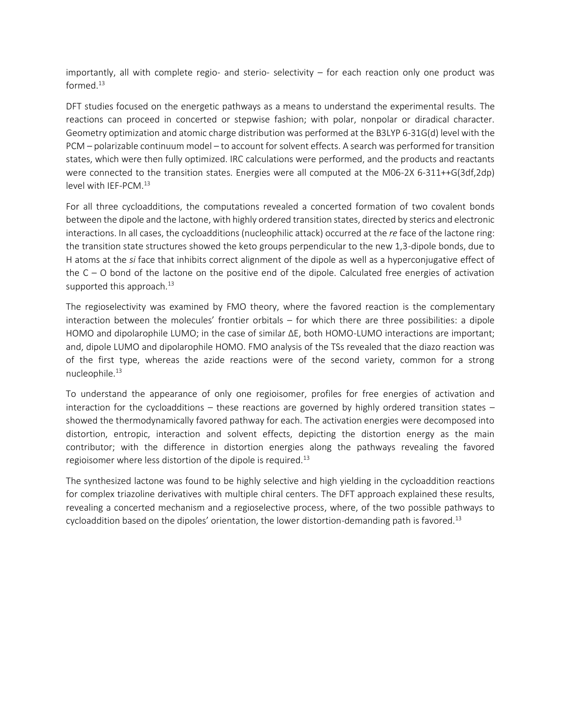importantly, all with complete regio- and sterio- selectivity – for each reaction only one product was formed. $^{13}$ 

DFT studies focused on the energetic pathways as a means to understand the experimental results. The reactions can proceed in concerted or stepwise fashion; with polar, nonpolar or diradical character. Geometry optimization and atomic charge distribution was performed at the B3LYP 6-31G(d) level with the PCM – polarizable continuum model – to account for solvent effects. A search was performed for transition states, which were then fully optimized. IRC calculations were performed, and the products and reactants were connected to the transition states. Energies were all computed at the M06-2X 6-311++G(3df,2dp) level with IEF-PCM.<sup>13</sup>

For all three cycloadditions, the computations revealed a concerted formation of two covalent bonds between the dipole and the lactone, with highly ordered transition states, directed by sterics and electronic interactions. In all cases, the cycloadditions (nucleophilic attack) occurred at the *re* face of the lactone ring: the transition state structures showed the keto groups perpendicular to the new 1,3-dipole bonds, due to H atoms at the *si* face that inhibits correct alignment of the dipole as well as a hyperconjugative effect of the C – O bond of the lactone on the positive end of the dipole. Calculated free energies of activation supported this approach.<sup>13</sup>

The regioselectivity was examined by FMO theory, where the favored reaction is the complementary interaction between the molecules' frontier orbitals – for which there are three possibilities: a dipole HOMO and dipolarophile LUMO; in the case of similar ΔE, both HOMO-LUMO interactions are important; and, dipole LUMO and dipolarophile HOMO. FMO analysis of the TSs revealed that the diazo reaction was of the first type, whereas the azide reactions were of the second variety, common for a strong nucleophile.<sup>13</sup>

To understand the appearance of only one regioisomer, profiles for free energies of activation and interaction for the cycloadditions – these reactions are governed by highly ordered transition states – showed the thermodynamically favored pathway for each. The activation energies were decomposed into distortion, entropic, interaction and solvent effects, depicting the distortion energy as the main contributor; with the difference in distortion energies along the pathways revealing the favored regioisomer where less distortion of the dipole is required.<sup>13</sup>

The synthesized lactone was found to be highly selective and high yielding in the cycloaddition reactions for complex triazoline derivatives with multiple chiral centers. The DFT approach explained these results, revealing a concerted mechanism and a regioselective process, where, of the two possible pathways to cycloaddition based on the dipoles' orientation, the lower distortion-demanding path is favored.<sup>13</sup>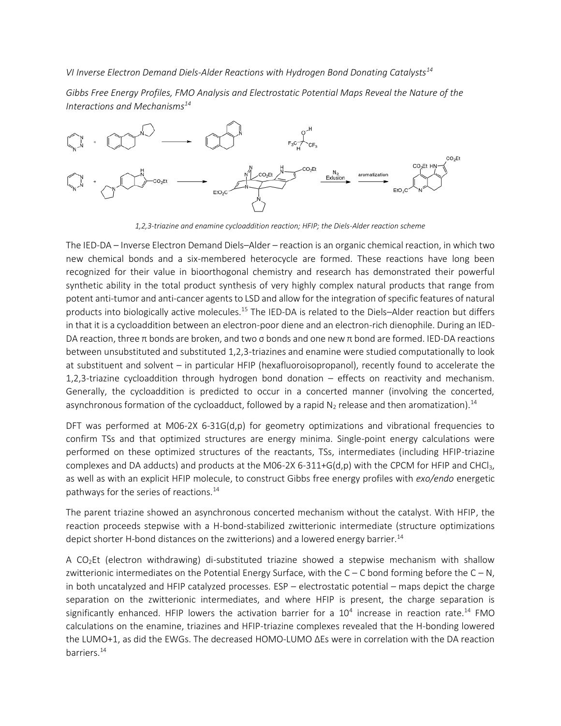*VI Inverse Electron Demand Diels-Alder Reactions with Hydrogen Bond Donating Catalysts<sup>14</sup>*

*Gibbs Free Energy Profiles, FMO Analysis and Electrostatic Potential Maps Reveal the Nature of the Interactions and Mechanisms<sup>14</sup>*



*1,2,3-triazine and enamine cycloaddition reaction; HFIP; the Diels-Alder reaction scheme*

The IED-DA – Inverse Electron Demand Diels–Alder – reaction is an organic chemical reaction, in which two new chemical bonds and a six-membered heterocycle are formed. These reactions have long been recognized for their value in bioorthogonal chemistry and research has demonstrated their powerful synthetic ability in the total product synthesis of very highly complex natural products that range from potent anti-tumor and anti-cancer agents to LSD and allow for the integration of specific features of natural products into biologically active molecules.<sup>15</sup> The IED-DA is related to the Diels–Alder reaction but differs in that it is a cycloaddition between an electron-poor diene and an electron-rich dienophile. During an IED-DA reaction, three π bonds are broken, and two σ bonds and one new π bond are formed. IED-DA reactions between unsubstituted and substituted 1,2,3-triazines and enamine were studied computationally to look at substituent and solvent – in particular HFIP (hexafluoroisopropanol), recently found to accelerate the 1,2,3-triazine cycloaddition through hydrogen bond donation – effects on reactivity and mechanism. Generally, the cycloaddition is predicted to occur in a concerted manner (involving the concerted, asynchronous formation of the cycloadduct, followed by a rapid  $N_2$  release and then aromatization).<sup>14</sup>

DFT was performed at M06-2X 6-31G(d,p) for geometry optimizations and vibrational frequencies to confirm TSs and that optimized structures are energy minima. Single-point energy calculations were performed on these optimized structures of the reactants, TSs, intermediates (including HFIP-triazine complexes and DA adducts) and products at the M06-2X 6-311+G(d,p) with the CPCM for HFIP and CHCl<sub>3</sub>, as well as with an explicit HFIP molecule, to construct Gibbs free energy profiles with *exo/endo* energetic pathways for the series of reactions.<sup>14</sup>

The parent triazine showed an asynchronous concerted mechanism without the catalyst. With HFIP, the reaction proceeds stepwise with a H-bond-stabilized zwitterionic intermediate (structure optimizations depict shorter H-bond distances on the zwitterions) and a lowered energy barrier.<sup>14</sup>

A CO2Et (electron withdrawing) di-substituted triazine showed a stepwise mechanism with shallow zwitterionic intermediates on the Potential Energy Surface, with the  $C - C$  bond forming before the  $C - N$ , in both uncatalyzed and HFIP catalyzed processes. ESP – electrostatic potential – maps depict the charge separation on the zwitterionic intermediates, and where HFIP is present, the charge separation is significantly enhanced. HFIP lowers the activation barrier for a  $10^4$  increase in reaction rate.<sup>14</sup> FMO calculations on the enamine, triazines and HFIP-triazine complexes revealed that the H-bonding lowered the LUMO+1, as did the EWGs. The decreased HOMO-LUMO ΔEs were in correlation with the DA reaction barriers.14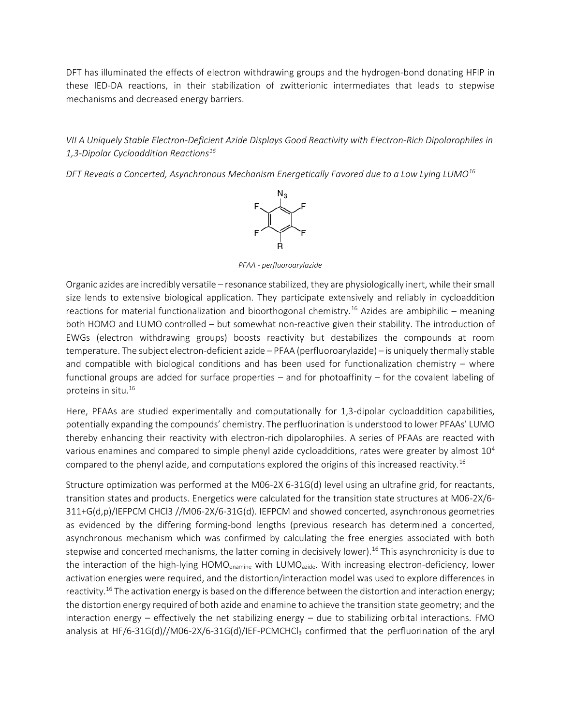DFT has illuminated the effects of electron withdrawing groups and the hydrogen-bond donating HFIP in these IED-DA reactions, in their stabilization of zwitterionic intermediates that leads to stepwise mechanisms and decreased energy barriers.

# *VII A Uniquely Stable Electron-Deficient Azide Displays Good Reactivity with Electron-Rich Dipolarophiles in 1,3-Dipolar Cycloaddition Reactions<sup>16</sup>*

*DFT Reveals a Concerted, Asynchronous Mechanism Energetically Favored due to a Low Lying LUMO<sup>16</sup>*



*PFAA - perfluoroarylazide*

Organic azides are incredibly versatile – resonance stabilized, they are physiologically inert, while their small size lends to extensive biological application. They participate extensively and reliably in cycloaddition reactions for material functionalization and bioorthogonal chemistry.<sup>16</sup> Azides are ambiphilic – meaning both HOMO and LUMO controlled – but somewhat non-reactive given their stability. The introduction of EWGs (electron withdrawing groups) boosts reactivity but destabilizes the compounds at room temperature. The subject electron-deficient azide – PFAA (perfluoroarylazide) – is uniquely thermally stable and compatible with biological conditions and has been used for functionalization chemistry – where functional groups are added for surface properties – and for photoaffinity – for the covalent labeling of proteins in situ.<sup>16</sup>

Here, PFAAs are studied experimentally and computationally for 1,3-dipolar cycloaddition capabilities, potentially expanding the compounds' chemistry. The perfluorination is understood to lower PFAAs' LUMO thereby enhancing their reactivity with electron-rich dipolarophiles. A series of PFAAs are reacted with various enamines and compared to simple phenyl azide cycloadditions, rates were greater by almost  $10^4$ compared to the phenyl azide, and computations explored the origins of this increased reactivity.<sup>16</sup>

Structure optimization was performed at the M06-2X 6-31G(d) level using an ultrafine grid, for reactants, transition states and products. Energetics were calculated for the transition state structures at M06-2X/6- 311+G(d,p)/IEFPCM CHCl3 //M06-2X/6-31G(d). IEFPCM and showed concerted, asynchronous geometries as evidenced by the differing forming-bond lengths (previous research has determined a concerted, asynchronous mechanism which was confirmed by calculating the free energies associated with both stepwise and concerted mechanisms, the latter coming in decisively lower).<sup>16</sup> This asynchronicity is due to the interaction of the high-lying HOMO<sub>enamine</sub> with LUMO<sub>azide</sub>. With increasing electron-deficiency, lower activation energies were required, and the distortion/interaction model was used to explore differences in reactivity.<sup>16</sup> The activation energy is based on the difference between the distortion and interaction energy; the distortion energy required of both azide and enamine to achieve the transition state geometry; and the interaction energy – effectively the net stabilizing energy – due to stabilizing orbital interactions. FMO analysis at HF/6-31G(d)//M06-2X/6-31G(d)/IEF-PCMCHCl<sub>3</sub> confirmed that the perfluorination of the aryl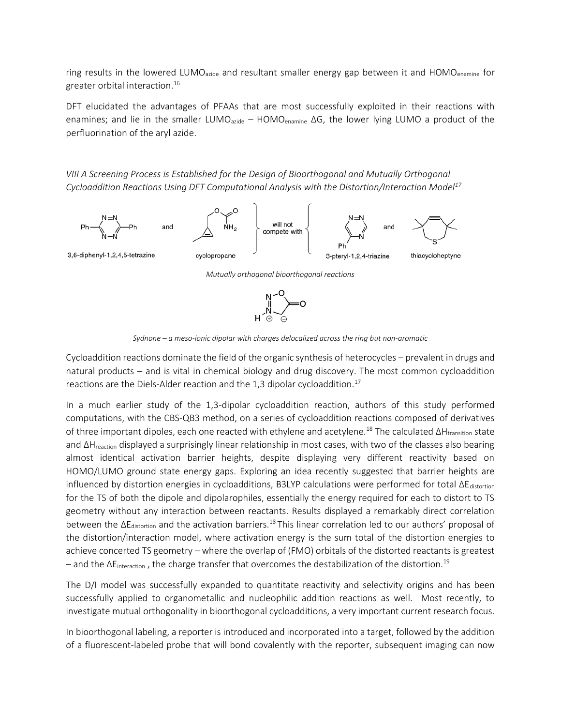ring results in the lowered LUMO<sub>azide</sub> and resultant smaller energy gap between it and HOMO<sub>enamine</sub> for greater orbital interaction.<sup>16</sup>

DFT elucidated the advantages of PFAAs that are most successfully exploited in their reactions with enamines; and lie in the smaller LUMO<sub>azide</sub> – HOMO<sub>enamine</sub> ΔG, the lower lying LUMO a product of the perfluorination of the aryl azide.

*VIII A Screening Process is Established for the Design of Bioorthogonal and Mutually Orthogonal Cycloaddition Reactions Using DFT Computational Analysis with the Distortion/Interaction Model<sup>17</sup>*



*Sydnone – a meso-ionic dipolar with charges delocalized across the ring but non-aromatic*

Cycloaddition reactions dominate the field of the organic synthesis of heterocycles – prevalent in drugs and natural products – and is vital in chemical biology and drug discovery. The most common cycloaddition reactions are the Diels-Alder reaction and the 1,3 dipolar cycloaddition.<sup>17</sup>

In a much earlier study of the 1,3-dipolar cycloaddition reaction, authors of this study performed computations, with the CBS-QB3 method, on a series of cycloaddition reactions composed of derivatives of three important dipoles, each one reacted with ethylene and acetylene.<sup>18</sup> The calculated ∆H<sub>transition</sub> state and ∆Hreaction displayed a surprisingly linear relationship in most cases, with two of the classes also bearing almost identical activation barrier heights, despite displaying very different reactivity based on HOMO/LUMO ground state energy gaps. Exploring an idea recently suggested that barrier heights are influenced by distortion energies in cycloadditions, B3LYP calculations were performed for total  $\Delta E_{distortion}$ for the TS of both the dipole and dipolarophiles, essentially the energy required for each to distort to TS geometry without any interaction between reactants. Results displayed a remarkably direct correlation between the ΔEdistortion and the activation barriers.<sup>18</sup>This linear correlation led to our authors' proposal of the distortion/interaction model, where activation energy is the sum total of the distortion energies to achieve concerted TS geometry – where the overlap of (FMO) orbitals of the distorted reactants is greatest – and the  $\Delta E_{interaction}$ , the charge transfer that overcomes the destabilization of the distortion.<sup>19</sup>

The D/I model was successfully expanded to quantitate reactivity and selectivity origins and has been successfully applied to organometallic and nucleophilic addition reactions as well. Most recently, to investigate mutual orthogonality in bioorthogonal cycloadditions, a very important current research focus.

In bioorthogonal labeling, a reporter is introduced and incorporated into a target, followed by the addition of a fluorescent-labeled probe that will bond covalently with the reporter, subsequent imaging can now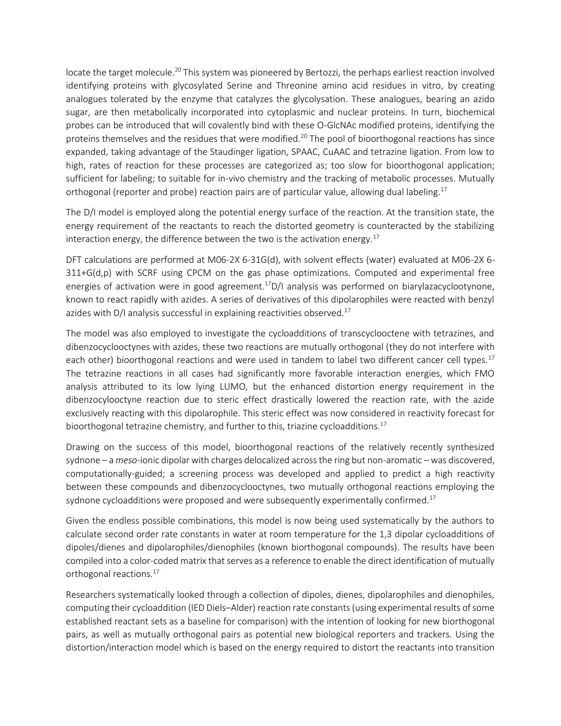locate the target molecule.<sup>20</sup> This system was pioneered by Bertozzi, the perhaps earliest reaction involved identifying proteins with glycosylated Serine and Threonine amino acid residues in vitro, by creating analogues tolerated by the enzyme that catalyzes the glycolysation. These analogues, bearing an azido sugar, are then metabolically incorporated into cytoplasmic and nuclear proteins. In turn, biochemical probes can be introduced that will covalently bind with these O-GlcNAc modified proteins, identifying the proteins themselves and the residues that were modified.<sup>20</sup> The pool of bioorthogonal reactions has since expanded, taking advantage of the Staudinger ligation, SPAAC, CuAAC and tetrazine ligation. From low to high, rates of reaction for these processes are categorized as; too slow for bioorthogonal application; sufficient for labeling; to suitable for in-vivo chemistry and the tracking of metabolic processes. Mutually orthogonal (reporter and probe) reaction pairs are of particular value, allowing dual labeling.<sup>17</sup>

The D/I model is employed along the potential energy surface of the reaction. At the transition state, the energy requirement of the reactants to reach the distorted geometry is counteracted by the stabilizing interaction energy, the difference between the two is the activation energy.<sup>17</sup>

DFT calculations are performed at M06-2X 6-31G(d), with solvent effects (water) evaluated at M06-2X 6- 311+G(d,p) with SCRF using CPCM on the gas phase optimizations. Computed and experimental free energies of activation were in good agreement.<sup>17</sup>D/I analysis was performed on biarylazacyclootynone, known to react rapidly with azides. A series of derivatives of this dipolarophiles were reacted with benzyl azides with D/I analysis successful in explaining reactivities observed.<sup>17</sup>

The model was also employed to investigate the cycloadditions of transcyclooctene with tetrazines, and dibenzocyclooctynes with azides, these two reactions are mutually orthogonal (they do not interfere with each other) bioorthogonal reactions and were used in tandem to label two different cancer cell types.<sup>17</sup> The tetrazine reactions in all cases had significantly more favorable interaction energies, which FMO analysis attributed to its low lying LUMO, but the enhanced distortion energy requirement in the dibenzocylooctyne reaction due to steric effect drastically lowered the reaction rate, with the azide exclusively reacting with this dipolarophile. This steric effect was now considered in reactivity forecast for bioorthogonal tetrazine chemistry, and further to this, triazine cycloadditions.<sup>17</sup>

Drawing on the success of this model, bioorthogonal reactions of the relatively recently synthesized sydnone – a *meso*-ionic dipolar with charges delocalized across the ring but non-aromatic – was discovered, computationally-guided; a screening process was developed and applied to predict a high reactivity between these compounds and dibenzocyclooctynes, two mutually orthogonal reactions employing the sydnone cycloadditions were proposed and were subsequently experimentally confirmed.<sup>17</sup>

Given the endless possible combinations, this model is now being used systematically by the authors to calculate second order rate constants in water at room temperature for the 1,3 dipolar cycloadditions of dipoles/dienes and dipolarophiles/dienophiles (known biorthogonal compounds). The results have been compiled into a color-coded matrix that serves as a reference to enable the direct identification of mutually orthogonal reactions.<sup>17</sup>

Researchers systematically looked through a collection of dipoles, dienes, dipolarophiles and dienophiles, computing their cycloaddition (IED Diels–Alder) reaction rate constants (using experimental results of some established reactant sets as a baseline for comparison) with the intention of looking for new biorthogonal pairs, as well as mutually orthogonal pairs as potential new biological reporters and trackers. Using the distortion/interaction model which is based on the energy required to distort the reactants into transition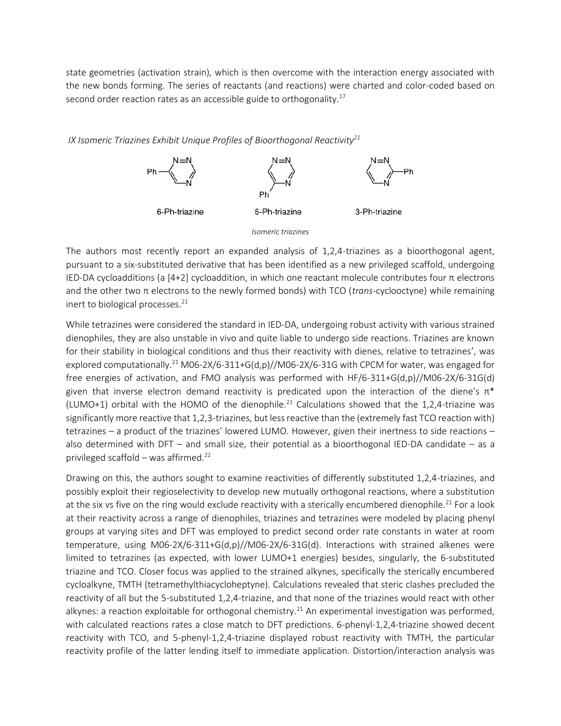state geometries (activation strain), which is then overcome with the interaction energy associated with the new bonds forming. The series of reactants (and reactions) were charted and color-coded based on second order reaction rates as an accessible guide to orthogonality.<sup>17</sup>

*IX Isomeric Triazines Exhibit Unique Profiles of Bioorthogonal Reactivity<sup>21</sup>*



The authors most recently report an expanded analysis of 1,2,4-triazines as a bioorthogonal agent, pursuant to a six-substituted derivative that has been identified as a new privileged scaffold, undergoing IED-DA cycloadditions (a [4+2] cycloaddition, in which one reactant molecule contributes four π electrons and the other two π electrons to the newly formed bonds) with TCO (*trans*-cyclooctyne) while remaining inert to biological processes. $^{21}$ 

While tetrazines were considered the standard in IED-DA, undergoing robust activity with various strained dienophiles, they are also unstable in vivo and quite liable to undergo side reactions. Triazines are known for their stability in biological conditions and thus their reactivity with dienes, relative to tetrazines', was explored computationally.<sup>21</sup> M06-2X/6-311+G(d,p)//M06-2X/6-31G with CPCM for water, was engaged for free energies of activation, and FMO analysis was performed with HF/6-311+G(d,p)//M06-2X/6-31G(d) given that inverse electron demand reactivity is predicated upon the interaction of the diene's  $\pi^*$ (LUMO+1) orbital with the HOMO of the dienophile.<sup>21</sup> Calculations showed that the 1,2,4-triazine was significantly more reactive that 1,2,3-triazines, but less reactive than the (extremely fast TCO reaction with) tetrazines – a product of the triazines' lowered LUMO. However, given their inertness to side reactions – also determined with DFT – and small size, their potential as a bioorthogonal IED-DA candidate – as a privileged scaffold – was affirmed.<sup>22</sup>

Drawing on this, the authors sought to examine reactivities of differently substituted 1,2,4-triazines, and possibly exploit their regioselectivity to develop new mutually orthogonal reactions, where a substitution at the six vs five on the ring would exclude reactivity with a sterically encumbered dienophile.<sup>21</sup> For a look at their reactivity across a range of dienophiles, triazines and tetrazines were modeled by placing phenyl groups at varying sites and DFT was employed to predict second order rate constants in water at room temperature, using M06-2X/6-311+G(d,p)//M06-2X/6-31G(d). Interactions with strained alkenes were limited to tetrazines (as expected, with lower LUMO+1 energies) besides, singularly, the 6-substituted triazine and TCO. Closer focus was applied to the strained alkynes, specifically the sterically encumbered cycloalkyne, TMTH (tetramethylthiacycloheptyne). Calculations revealed that steric clashes precluded the reactivity of all but the 5-substituted 1,2,4-triazine, and that none of the triazines would react with other alkynes: a reaction exploitable for orthogonal chemistry.<sup>21</sup> An experimental investigation was performed, with calculated reactions rates a close match to DFT predictions. 6-phenyl-1,2,4-triazine showed decent reactivity with TCO, and 5-phenyl-1,2,4-triazine displayed robust reactivity with TMTH, the particular reactivity profile of the latter lending itself to immediate application. Distortion/interaction analysis was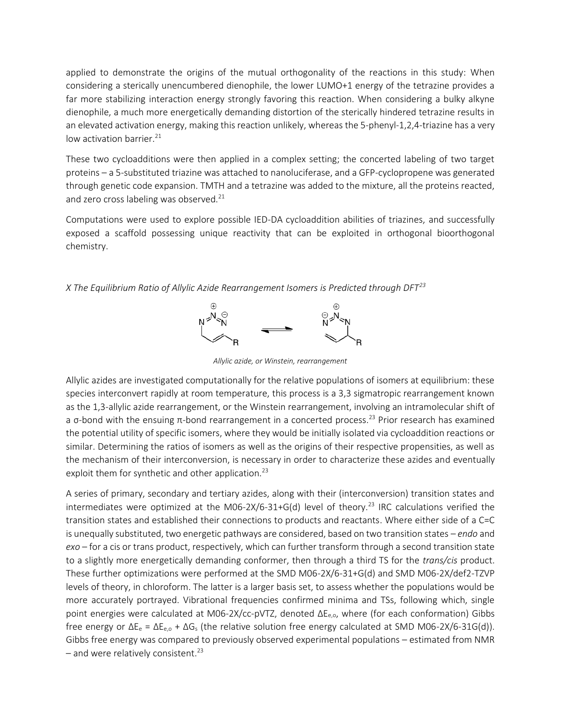applied to demonstrate the origins of the mutual orthogonality of the reactions in this study: When considering a sterically unencumbered dienophile, the lower LUMO+1 energy of the tetrazine provides a far more stabilizing interaction energy strongly favoring this reaction. When considering a bulky alkyne dienophile, a much more energetically demanding distortion of the sterically hindered tetrazine results in an elevated activation energy, making this reaction unlikely, whereas the 5-phenyl-1,2,4-triazine has a very low activation barrier.<sup>21</sup>

These two cycloadditions were then applied in a complex setting; the concerted labeling of two target proteins – a 5-substituted triazine was attached to nanoluciferase, and a GFP-cyclopropene was generated through genetic code expansion. TMTH and a tetrazine was added to the mixture, all the proteins reacted, and zero cross labeling was observed. $21$ 

Computations were used to explore possible IED-DA cycloaddition abilities of triazines, and successfully exposed a scaffold possessing unique reactivity that can be exploited in orthogonal bioorthogonal chemistry.

*X The Equilibrium Ratio of Allylic Azide Rearrangement Isomers is Predicted through DFT<sup>23</sup>*



*Allylic azide, or Winstein, rearrangement*

Allylic azides are investigated computationally for the relative populations of isomers at equilibrium: these species interconvert rapidly at room temperature, this process is a 3,3 sigmatropic rearrangement known as the 1,3-allylic azide rearrangement, or the Winstein rearrangement, involving an intramolecular shift of a σ-bond with the ensuing  $π$ -bond rearrangement in a concerted process.<sup>23</sup> Prior research has examined the potential utility of specific isomers, where they would be initially isolated via cycloaddition reactions or similar. Determining the ratios of isomers as well as the origins of their respective propensities, as well as the mechanism of their interconversion, is necessary in order to characterize these azides and eventually exploit them for synthetic and other application.<sup>23</sup>

A series of primary, secondary and tertiary azides, along with their (interconversion) transition states and intermediates were optimized at the M06-2X/6-31+G(d) level of theory.<sup>23</sup> IRC calculations verified the transition states and established their connections to products and reactants. Where either side of a C=C is unequally substituted, two energetic pathways are considered, based on two transition states – *endo* and *exo* – for a cis or trans product, respectively, which can further transform through a second transition state to a slightly more energetically demanding conformer, then through a third TS for the *trans/cis* product. These further optimizations were performed at the SMD M06-2X/6-31+G(d) and SMD M06-2X/def2-TZVP levels of theory, in chloroform. The latter is a larger basis set, to assess whether the populations would be more accurately portrayed. Vibrational frequencies confirmed minima and TSs, following which, single point energies were calculated at M06-2X/cc-pVTZ, denoted ΔE<sub>e,o</sub>, where (for each conformation) Gibbs free energy or  $\Delta E_e = \Delta E_{e,o} + \Delta G_s$  (the relative solution free energy calculated at SMD M06-2X/6-31G(d)). Gibbs free energy was compared to previously observed experimental populations – estimated from NMR – and were relatively consistent.<sup>23</sup>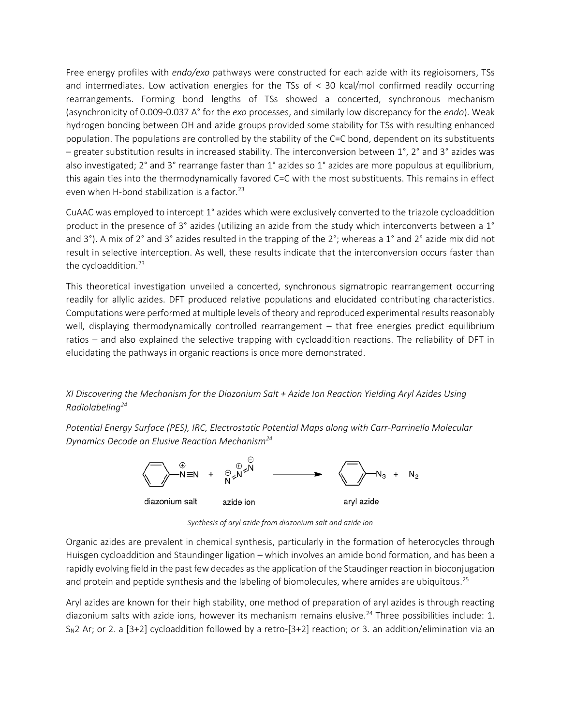Free energy profiles with *endo/exo* pathways were constructed for each azide with its regioisomers, TSs and intermediates. Low activation energies for the TSs of < 30 kcal/mol confirmed readily occurring rearrangements. Forming bond lengths of TSs showed a concerted, synchronous mechanism (asynchronicity of 0.009-0.037 A° for the *exo* processes, and similarly low discrepancy for the *endo*). Weak hydrogen bonding between OH and azide groups provided some stability for TSs with resulting enhanced population. The populations are controlled by the stability of the C=C bond, dependent on its substituents – greater substitution results in increased stability. The interconversion between 1°, 2° and 3° azides was also investigated; 2° and 3° rearrange faster than 1° azides so 1° azides are more populous at equilibrium, this again ties into the thermodynamically favored C=C with the most substituents. This remains in effect even when H-bond stabilization is a factor.<sup>23</sup>

CuAAC was employed to intercept 1° azides which were exclusively converted to the triazole cycloaddition product in the presence of 3° azides (utilizing an azide from the study which interconverts between a 1° and 3°). A mix of 2° and 3° azides resulted in the trapping of the 2°; whereas a 1° and 2° azide mix did not result in selective interception. As well, these results indicate that the interconversion occurs faster than the cycloaddition.<sup>23</sup>

This theoretical investigation unveiled a concerted, synchronous sigmatropic rearrangement occurring readily for allylic azides. DFT produced relative populations and elucidated contributing characteristics. Computations were performed at multiple levels of theory and reproduced experimental results reasonably well, displaying thermodynamically controlled rearrangement – that free energies predict equilibrium ratios – and also explained the selective trapping with cycloaddition reactions. The reliability of DFT in elucidating the pathways in organic reactions is once more demonstrated.

## *XI Discovering the Mechanism for the Diazonium Salt + Azide Ion Reaction Yielding Aryl Azides Using Radiolabeling<sup>24</sup>*

*Potential Energy Surface (PES), IRC, Electrostatic Potential Maps along with Carr-Parrinello Molecular Dynamics Decode an Elusive Reaction Mechanism<sup>24</sup>*



*Synthesis of aryl azide from diazonium salt and azide ion*

Organic azides are prevalent in chemical synthesis, particularly in the formation of heterocycles through Huisgen cycloaddition and Staundinger ligation – which involves an amide bond formation, and has been a rapidly evolving field in the past few decades asthe application of the Staudinger reaction in bioconjugation and protein and peptide synthesis and the labeling of biomolecules, where amides are ubiquitous.<sup>25</sup>

Aryl azides are known for their high stability, one method of preparation of aryl azides is through reacting diazonium salts with azide ions, however its mechanism remains elusive.<sup>24</sup> Three possibilities include: 1.  $S_N$ 2 Ar; or 2. a [3+2] cycloaddition followed by a retro-[3+2] reaction; or 3. an addition/elimination via an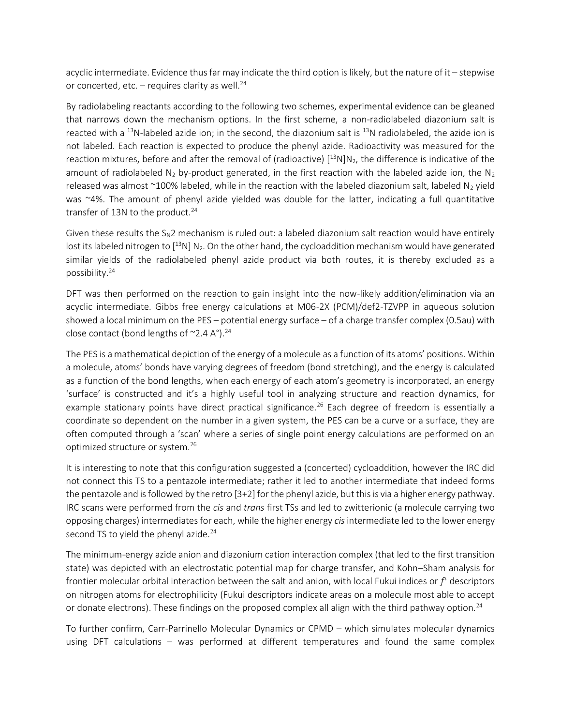acyclic intermediate. Evidence thus far may indicate the third option is likely, but the nature of it – stepwise or concerted, etc. - requires clarity as well.<sup>24</sup>

By radiolabeling reactants according to the following two schemes, experimental evidence can be gleaned that narrows down the mechanism options. In the first scheme, a non-radiolabeled diazonium salt is reacted with a <sup>13</sup>N-labeled azide ion; in the second, the diazonium salt is <sup>13</sup>N radiolabeled, the azide ion is not labeled. Each reaction is expected to produce the phenyl azide. Radioactivity was measured for the reaction mixtures, before and after the removal of (radioactive)  $[13N]N_2$ , the difference is indicative of the amount of radiolabeled N<sub>2</sub> by-product generated, in the first reaction with the labeled azide ion, the N<sub>2</sub> released was almost ~100% labeled, while in the reaction with the labeled diazonium salt, labeled N<sub>2</sub> yield was ~4%. The amount of phenyl azide yielded was double for the latter, indicating a full quantitative transfer of 13N to the product. $24$ 

Given these results the  $S_N2$  mechanism is ruled out: a labeled diazonium salt reaction would have entirely lost its labeled nitrogen to  $[13N]$  N<sub>2</sub>. On the other hand, the cycloaddition mechanism would have generated similar yields of the radiolabeled phenyl azide product via both routes, it is thereby excluded as a possibility.<sup>24</sup>

DFT was then performed on the reaction to gain insight into the now-likely addition/elimination via an acyclic intermediate. Gibbs free energy calculations at M06-2X (PCM)/def2-TZVPP in aqueous solution showed a local minimum on the PES – potential energy surface – of a charge transfer complex (0.5au) with close contact (bond lengths of  $\sim$ 2.4 A $\degree$ ).<sup>24</sup>

The PES is a mathematical depiction of the energy of a molecule as a function of its atoms' positions. Within a molecule, atoms' bonds have varying degrees of freedom (bond stretching), and the energy is calculated as a function of the bond lengths, when each energy of each atom's geometry is incorporated, an energy 'surface' is constructed and it's a highly useful tool in analyzing structure and reaction dynamics, for example stationary points have direct practical significance.<sup>26</sup> Each degree of freedom is essentially a coordinate so dependent on the number in a given system, the PES can be a curve or a surface, they are often computed through a 'scan' where a series of single point energy calculations are performed on an optimized structure or system.<sup>26</sup>

It is interesting to note that this configuration suggested a (concerted) cycloaddition, however the IRC did not connect this TS to a pentazole intermediate; rather it led to another intermediate that indeed forms the pentazole and is followed by the retro [3+2] for the phenyl azide, but this is via a higher energy pathway. IRC scans were performed from the *cis* and *trans* first TSs and led to zwitterionic (a molecule carrying two opposing charges) intermediates for each, while the higher energy *cis* intermediate led to the lower energy second TS to yield the phenyl azide.<sup>24</sup>

The minimum-energy azide anion and diazonium cation interaction complex (that led to the first transition state) was depicted with an electrostatic potential map for charge transfer, and Kohn–Sham analysis for frontier molecular orbital interaction between the salt and anion, with local Fukui indices or *f <sup>+</sup>* descriptors on nitrogen atoms for electrophilicity (Fukui descriptors indicate areas on a molecule most able to accept or donate electrons). These findings on the proposed complex all align with the third pathway option.<sup>24</sup>

To further confirm, Carr-Parrinello Molecular Dynamics or CPMD – which simulates molecular dynamics using DFT calculations – was performed at different temperatures and found the same complex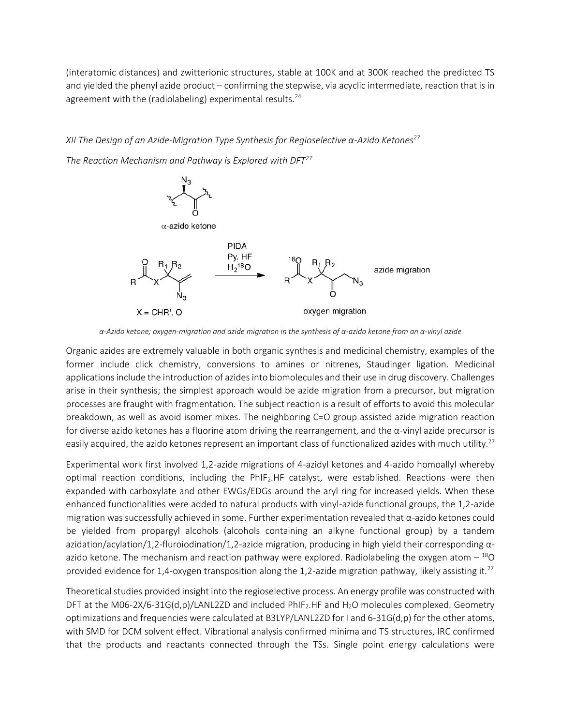(interatomic distances) and zwitterionic structures, stable at 100K and at 300K reached the predicted TS and yielded the phenyl azide product – confirming the stepwise, via acyclic intermediate, reaction that is in agreement with the (radiolabeling) experimental results. $24$ 

## *XII The Design of an Azide-Migration Type Synthesis for Regioselective α-Azido Ketones<sup>27</sup>*

*The Reaction Mechanism and Pathway is Explored with DFT<sup>27</sup>*



*α-Azido ketone; oxygen-migration and azide migration in the synthesis of α-azido ketone from an α-vinyl azide*

Organic azides are extremely valuable in both organic synthesis and medicinal chemistry, examples of the former include click chemistry, conversions to amines or nitrenes, Staudinger ligation. Medicinal applications include the introduction of azides into biomolecules and their use in drug discovery. Challenges arise in their synthesis; the simplest approach would be azide migration from a precursor, but migration processes are fraught with fragmentation. The subject reaction is a result of efforts to avoid this molecular breakdown, as well as avoid isomer mixes. The neighboring C=O group assisted azide migration reaction for diverse azido ketones has a fluorine atom driving the rearrangement, and the  $\alpha$ -vinyl azide precursor is easily acquired, the azido ketones represent an important class of functionalized azides with much utility.<sup>27</sup>

Experimental work first involved 1,2-azide migrations of 4-azidyl ketones and 4-azido homoallyl whereby optimal reaction conditions, including the PhIF2.HF catalyst, were established. Reactions were then expanded with carboxylate and other EWGs/EDGs around the aryl ring for increased yields. When these enhanced functionalities were added to natural products with vinyl-azide functional groups, the 1,2-azide migration was successfully achieved in some. Further experimentation revealed that α-azido ketones could be yielded from propargyl alcohols (alcohols containing an alkyne functional group) by a tandem azidation/acylation/1,2-fluroiodination/1,2-azide migration, producing in high yield their corresponding αazido ketone. The mechanism and reaction pathway were explored. Radiolabeling the oxygen atom  $-{}^{18}$ O provided evidence for 1,4-oxygen transposition along the 1,2-azide migration pathway, likely assisting it.<sup>27</sup>

Theoretical studies provided insight into the regioselective process. An energy profile was constructed with DFT at the M06-2X/6-31G(d,p)/LANL2ZD and included PhIF<sub>2</sub>.HF and H<sub>2</sub>O molecules complexed. Geometry optimizations and frequencies were calculated at B3LYP/LANL2ZD for I and 6-31G(d,p) for the other atoms, with SMD for DCM solvent effect. Vibrational analysis confirmed minima and TS structures, IRC confirmed that the products and reactants connected through the TSs. Single point energy calculations were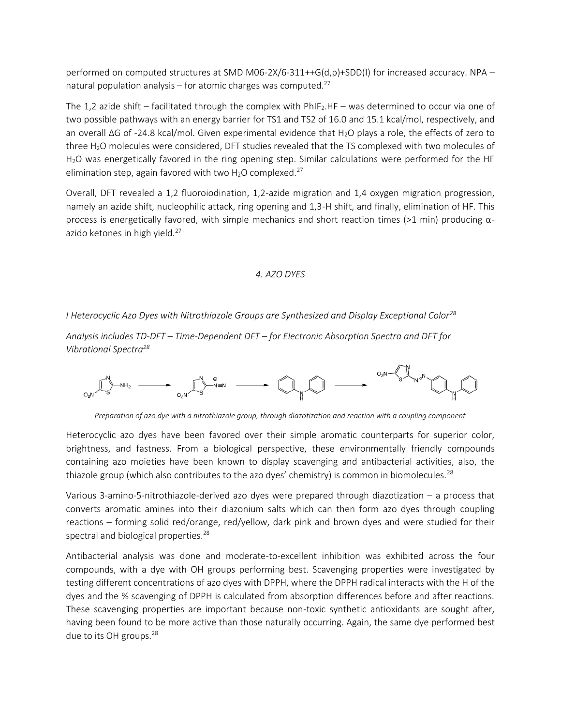performed on computed structures at SMD M06-2X/6-311++G(d,p)+SDD(I) for increased accuracy. NPA – natural population analysis – for atomic charges was computed. $27$ 

The 1,2 azide shift – facilitated through the complex with  $PhIF_2.HF$  – was determined to occur via one of two possible pathways with an energy barrier for TS1 and TS2 of 16.0 and 15.1 kcal/mol, respectively, and an overall ΔG of -24.8 kcal/mol. Given experimental evidence that H2O plays a role, the effects of zero to three H2O molecules were considered, DFT studies revealed that the TS complexed with two molecules of H2O was energetically favored in the ring opening step. Similar calculations were performed for the HF elimination step, again favored with two  $H_2O$  complexed.<sup>27</sup>

Overall, DFT revealed a 1,2 fluoroiodination, 1,2-azide migration and 1,4 oxygen migration progression, namely an azide shift, nucleophilic attack, ring opening and 1,3-H shift, and finally, elimination of HF. This process is energetically favored, with simple mechanics and short reaction times (>1 min) producing  $\alpha$ azido ketones in high yield.<sup>27</sup>

## *4. AZO DYES*

*I Heterocyclic Azo Dyes with Nitrothiazole Groups are Synthesized and Display Exceptional Color<sup>28</sup>*

*Analysis includes TD-DFT – Time-Dependent DFT – for Electronic Absorption Spectra and DFT for Vibrational Spectra<sup>28</sup>*



*Preparation of azo dye with a nitrothiazole group, through diazotization and reaction with a coupling component* 

Heterocyclic azo dyes have been favored over their simple aromatic counterparts for superior color, brightness, and fastness. From a biological perspective, these environmentally friendly compounds containing azo moieties have been known to display scavenging and antibacterial activities, also, the thiazole group (which also contributes to the azo dyes' chemistry) is common in biomolecules.<sup>28</sup>

Various 3-amino-5-nitrothiazole-derived azo dyes were prepared through diazotization – a process that converts aromatic amines into their diazonium salts which can then form azo dyes through coupling reactions – forming solid red/orange, red/yellow, dark pink and brown dyes and were studied for their spectral and biological properties.<sup>28</sup>

Antibacterial analysis was done and moderate-to-excellent inhibition was exhibited across the four compounds, with a dye with OH groups performing best. Scavenging properties were investigated by testing different concentrations of azo dyes with DPPH, where the DPPH radical interacts with the H of the dyes and the % scavenging of DPPH is calculated from absorption differences before and after reactions. These scavenging properties are important because non-toxic synthetic antioxidants are sought after, having been found to be more active than those naturally occurring. Again, the same dye performed best due to its OH groups.<sup>28</sup>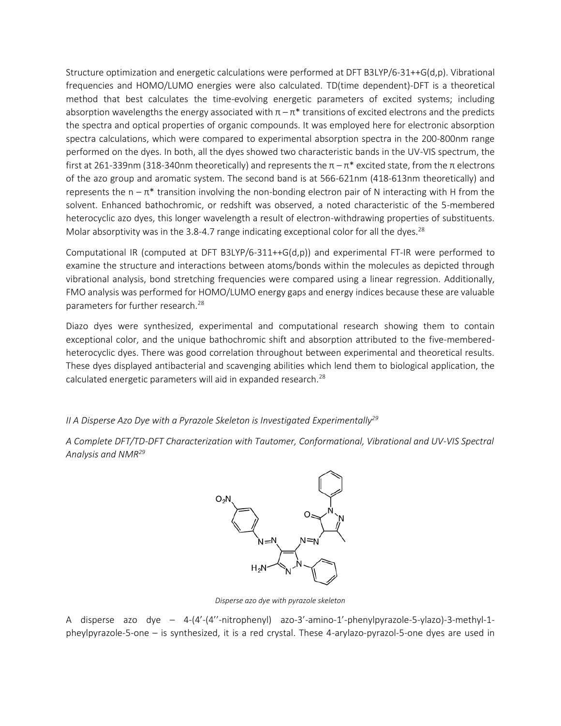Structure optimization and energetic calculations were performed at DFT B3LYP/6-31++G(d,p). Vibrational frequencies and HOMO/LUMO energies were also calculated. TD(time dependent)-DFT is a theoretical method that best calculates the time-evolving energetic parameters of excited systems; including absorption wavelengths the energy associated with  $\pi - \pi^*$  transitions of excited electrons and the predicts the spectra and optical properties of organic compounds. It was employed here for electronic absorption spectra calculations, which were compared to experimental absorption spectra in the 200-800nm range performed on the dyes. In both, all the dyes showed two characteristic bands in the UV-VIS spectrum, the first at 261-339nm (318-340nm theoretically) and represents the  $π – π*$  excited state, from the π electrons of the azo group and aromatic system. The second band is at 566-621nm (418-613nm theoretically) and represents the  $n - \pi^*$  transition involving the non-bonding electron pair of N interacting with H from the solvent. Enhanced bathochromic, or redshift was observed, a noted characteristic of the 5-membered heterocyclic azo dyes, this longer wavelength a result of electron-withdrawing properties of substituents. Molar absorptivity was in the 3.8-4.7 range indicating exceptional color for all the dyes.<sup>28</sup>

Computational IR (computed at DFT B3LYP/6-311++G(d,p)) and experimental FT-IR were performed to examine the structure and interactions between atoms/bonds within the molecules as depicted through vibrational analysis, bond stretching frequencies were compared using a linear regression. Additionally, FMO analysis was performed for HOMO/LUMO energy gaps and energy indices because these are valuable parameters for further research.<sup>28</sup>

Diazo dyes were synthesized, experimental and computational research showing them to contain exceptional color, and the unique bathochromic shift and absorption attributed to the five-memberedheterocyclic dyes. There was good correlation throughout between experimental and theoretical results. These dyes displayed antibacterial and scavenging abilities which lend them to biological application, the calculated energetic parameters will aid in expanded research.<sup>28</sup>

*II A Disperse Azo Dye with a Pyrazole Skeleton is Investigated Experimentally<sup>29</sup>*

*A Complete DFT/TD-DFT Characterization with Tautomer, Conformational, Vibrational and UV-VIS Spectral Analysis and NMR<sup>29</sup>*



*Disperse azo dye with pyrazole skeleton*

A disperse azo dye – 4-(4'-(4''-nitrophenyl) azo-3'-amino-1'-phenylpyrazole-5-ylazo)-3-methyl-1 pheylpyrazole-5-one – is synthesized, it is a red crystal. These 4-arylazo-pyrazol-5-one dyes are used in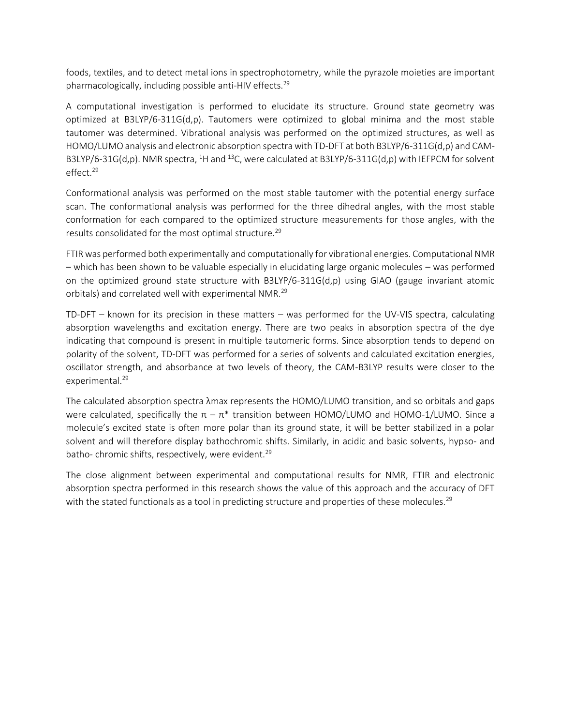foods, textiles, and to detect metal ions in spectrophotometry, while the pyrazole moieties are important pharmacologically, including possible anti-HIV effects.<sup>29</sup>

A computational investigation is performed to elucidate its structure. Ground state geometry was optimized at B3LYP/6-311G(d,p). Tautomers were optimized to global minima and the most stable tautomer was determined. Vibrational analysis was performed on the optimized structures, as well as HOMO/LUMO analysis and electronic absorption spectra with TD-DFT at both B3LYP/6-311G(d,p) and CAM-B3LYP/6-31G(d,p). NMR spectra, <sup>1</sup>H and <sup>13</sup>C, were calculated at B3LYP/6-311G(d,p) with IEFPCM for solvent effect.<sup>29</sup>

Conformational analysis was performed on the most stable tautomer with the potential energy surface scan. The conformational analysis was performed for the three dihedral angles, with the most stable conformation for each compared to the optimized structure measurements for those angles, with the results consolidated for the most optimal structure.<sup>29</sup>

FTIR was performed both experimentally and computationally for vibrational energies. Computational NMR – which has been shown to be valuable especially in elucidating large organic molecules – was performed on the optimized ground state structure with B3LYP/6-311G(d,p) using GIAO (gauge invariant atomic orbitals) and correlated well with experimental NMR.<sup>29</sup>

TD-DFT – known for its precision in these matters – was performed for the UV-VIS spectra, calculating absorption wavelengths and excitation energy. There are two peaks in absorption spectra of the dye indicating that compound is present in multiple tautomeric forms. Since absorption tends to depend on polarity of the solvent, TD-DFT was performed for a series of solvents and calculated excitation energies, oscillator strength, and absorbance at two levels of theory, the CAM-B3LYP results were closer to the experimental.<sup>29</sup>

The calculated absorption spectra λmax represents the HOMO/LUMO transition, and so orbitals and gaps were calculated, specifically the  $\pi - \pi^*$  transition between HOMO/LUMO and HOMO-1/LUMO. Since a molecule's excited state is often more polar than its ground state, it will be better stabilized in a polar solvent and will therefore display bathochromic shifts. Similarly, in acidic and basic solvents, hypso- and batho- chromic shifts, respectively, were evident.<sup>29</sup>

The close alignment between experimental and computational results for NMR, FTIR and electronic absorption spectra performed in this research shows the value of this approach and the accuracy of DFT with the stated functionals as a tool in predicting structure and properties of these molecules.<sup>29</sup>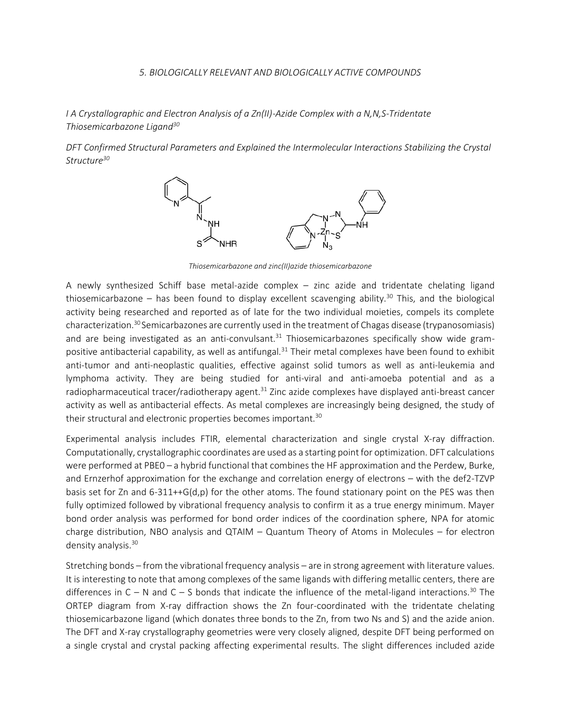#### *5. BIOLOGICALLY RELEVANT AND BIOLOGICALLY ACTIVE COMPOUNDS*

*I A Crystallographic and Electron Analysis of a Zn(II)-Azide Complex with a N,N,S-Tridentate Thiosemicarbazone Ligand<sup>30</sup>*

*DFT Confirmed Structural Parameters and Explained the Intermolecular Interactions Stabilizing the Crystal Structure<sup>30</sup>*



*Thiosemicarbazone and zinc(II)azide thiosemicarbazone*

A newly synthesized Schiff base metal-azide complex – zinc azide and tridentate chelating ligand thiosemicarbazone – has been found to display excellent scavenging ability.<sup>30</sup> This, and the biological activity being researched and reported as of late for the two individual moieties, compels its complete characterization.<sup>30</sup> Semicarbazones are currently used in the treatment of Chagas disease (trypanosomiasis) and are being investigated as an anti-convulsant.<sup>31</sup> Thiosemicarbazones specifically show wide grampositive antibacterial capability, as well as antifungal.<sup>31</sup> Their metal complexes have been found to exhibit anti-tumor and anti-neoplastic qualities, effective against solid tumors as well as anti-leukemia and lymphoma activity. They are being studied for anti-viral and anti-amoeba potential and as a radiopharmaceutical tracer/radiotherapy agent.<sup>31</sup> Zinc azide complexes have displayed anti-breast cancer activity as well as antibacterial effects. As metal complexes are increasingly being designed, the study of their structural and electronic properties becomes important.<sup>30</sup>

Experimental analysis includes FTIR, elemental characterization and single crystal X-ray diffraction. Computationally, crystallographic coordinates are used as a starting point for optimization. DFT calculations were performed at PBE0 – a hybrid functional that combines the HF approximation and the Perdew, Burke, and Ernzerhof approximation for the exchange and correlation energy of electrons – with the def2-TZVP basis set for Zn and 6-311++G(d,p) for the other atoms. The found stationary point on the PES was then fully optimized followed by vibrational frequency analysis to confirm it as a true energy minimum. Mayer bond order analysis was performed for bond order indices of the coordination sphere, NPA for atomic charge distribution, NBO analysis and QTAIM – Quantum Theory of Atoms in Molecules – for electron density analysis.<sup>30</sup>

Stretching bonds – from the vibrational frequency analysis – are in strong agreement with literature values. It is interesting to note that among complexes of the same ligands with differing metallic centers, there are differences in  $C - N$  and  $C - S$  bonds that indicate the influence of the metal-ligand interactions.<sup>30</sup> The ORTEP diagram from X-ray diffraction shows the Zn four-coordinated with the tridentate chelating thiosemicarbazone ligand (which donates three bonds to the Zn, from two Ns and S) and the azide anion. The DFT and X-ray crystallography geometries were very closely aligned, despite DFT being performed on a single crystal and crystal packing affecting experimental results. The slight differences included azide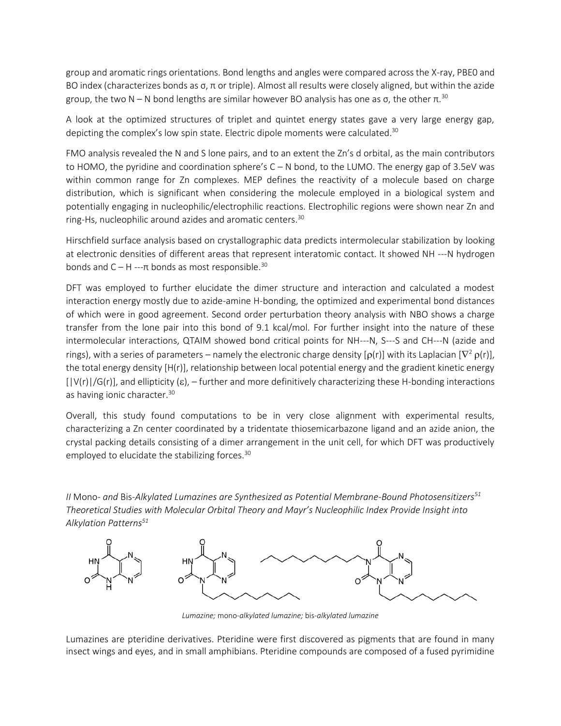group and aromatic rings orientations. Bond lengths and angles were compared across the X-ray, PBE0 and BO index (characterizes bonds as σ, π or triple). Almost all results were closely aligned, but within the azide group, the two N – N bond lengths are similar however BO analysis has one as σ, the other  $π<sup>30</sup>$ 

A look at the optimized structures of triplet and quintet energy states gave a very large energy gap, depicting the complex's low spin state. Electric dipole moments were calculated.<sup>30</sup>

FMO analysis revealed the N and S lone pairs, and to an extent the Zn's d orbital, as the main contributors to HOMO, the pyridine and coordination sphere's C – N bond, to the LUMO. The energy gap of 3.5eV was within common range for Zn complexes. MEP defines the reactivity of a molecule based on charge distribution, which is significant when considering the molecule employed in a biological system and potentially engaging in nucleophilic/electrophilic reactions. Electrophilic regions were shown near Zn and ring-Hs, nucleophilic around azides and aromatic centers.<sup>30</sup>

Hirschfield surface analysis based on crystallographic data predicts intermolecular stabilization by looking at electronic densities of different areas that represent interatomic contact. It showed NH ---N hydrogen bonds and  $C - H$  --- $\pi$  bonds as most responsible.<sup>30</sup>

DFT was employed to further elucidate the dimer structure and interaction and calculated a modest interaction energy mostly due to azide-amine H-bonding, the optimized and experimental bond distances of which were in good agreement. Second order perturbation theory analysis with NBO shows a charge transfer from the lone pair into this bond of 9.1 kcal/mol. For further insight into the nature of these intermolecular interactions, QTAIM showed bond critical points for NH---N, S---S and CH---N (azide and rings), with a series of parameters – namely the electronic charge density [ $\rho(r)$ ] with its Laplacian [ $\nabla^2 \rho(r)$ ], the total energy density [H(r)], relationship between local potential energy and the gradient kinetic energy  $[|V(r)|/G(r)]$ , and ellipticity  $(\epsilon)$ , – further and more definitively characterizing these H-bonding interactions as having jonic character.<sup>30</sup>

Overall, this study found computations to be in very close alignment with experimental results, characterizing a Zn center coordinated by a tridentate thiosemicarbazone ligand and an azide anion, the crystal packing details consisting of a dimer arrangement in the unit cell, for which DFT was productively employed to elucidate the stabilizing forces.<sup>30</sup>

*II* Mono*- and* Bis*-Alkylated Lumazines are Synthesized as Potential Membrane-Bound Photosensitizers<sup>51</sup> Theoretical Studies with Molecular Orbital Theory and Mayr's Nucleophilic Index Provide Insight into Alkylation Patterns<sup>51</sup>*



*Lumazine;* mono*-alkylated lumazine;* bis*-alkylated lumazine*

Lumazines are pteridine derivatives. Pteridine were first discovered as pigments that are found in many insect wings and eyes, and in small amphibians. Pteridine compounds are composed of a fused pyrimidine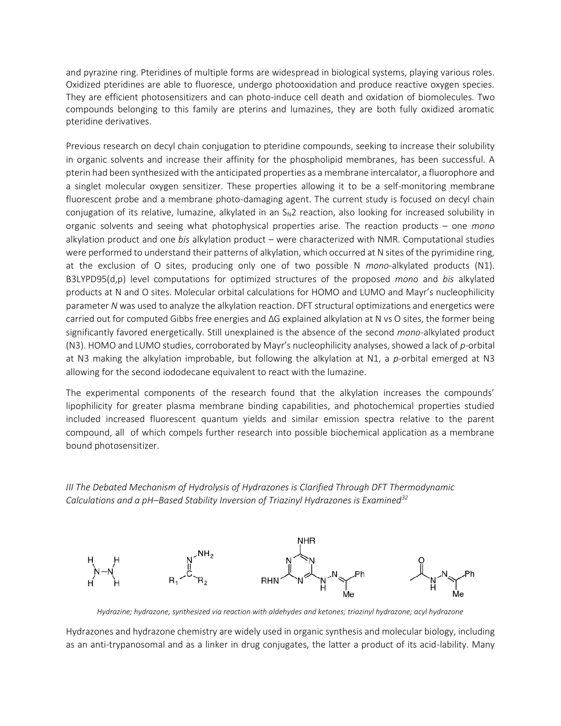and pyrazine ring. Pteridines of multiple forms are widespread in biological systems, playing various roles. Oxidized pteridines are able to fluoresce, undergo photooxidation and produce reactive oxygen species. They are efficient photosensitizers and can photo-induce cell death and oxidation of biomolecules. Two compounds belonging to this family are pterins and lumazines, they are both fully oxidized aromatic pteridine derivatives.

Previous research on decyl chain conjugation to pteridine compounds, seeking to increase their solubility in organic solvents and increase their affinity for the phospholipid membranes, has been successful. A pterin had been synthesized with the anticipated properties as a membrane intercalator, a fluorophore and a singlet molecular oxygen sensitizer. These properties allowing it to be a self-monitoring membrane fluorescent probe and a membrane photo-damaging agent. The current study is focused on decyl chain conjugation of its relative, lumazine, alkylated in an  $S<sub>N</sub>2$  reaction, also looking for increased solubility in organic solvents and seeing what photophysical properties arise. The reaction products – one *mono* alkylation product and one *bis* alkylation product – were characterized with NMR. Computational studies were performed to understand their patterns of alkylation, which occurred at N sites of the pyrimidine ring, at the exclusion of O sites, producing only one of two possible N *mono*-alkylated products (N1). B3LYPD95(d,p) level computations for optimized structures of the proposed *mono* and *bis* alkylated products at N and O sites. Molecular orbital calculations for HOMO and LUMO and Mayr's nucleophilicity parameter *N* was used to analyze the alkylation reaction. DFT structural optimizations and energetics were carried out for computed Gibbs free energies and ΔG explained alkylation at N vs O sites, the former being significantly favored energetically. Still unexplained is the absence of the second *mono-*alkylated product (N3). HOMO and LUMO studies, corroborated by Mayr's nucleophilicity analyses, showed a lack of *p*-orbital at N3 making the alkylation improbable, but following the alkylation at N1, a *p*-orbital emerged at N3 allowing for the second iododecane equivalent to react with the lumazine.

The experimental components of the research found that the alkylation increases the compounds' lipophilicity for greater plasma membrane binding capabilities, and photochemical properties studied included increased fluorescent quantum yields and similar emission spectra relative to the parent compound, all of which compels further research into possible biochemical application as a membrane bound photosensitizer.

*III The Debated Mechanism of Hydrolysis of Hydrazones is Clarified Through DFT Thermodynamic Calculations and a pH–Based Stability Inversion of Triazinyl Hydrazones is Examined<sup>32</sup>*



*Hydrazine; hydrazone, synthesized via reaction with aldehydes and ketones; triazinyl hydrazone; acyl hydrazone*

Hydrazones and hydrazone chemistry are widely used in organic synthesis and molecular biology, including as an anti-trypanosomal and as a linker in drug conjugates, the latter a product of its acid-lability. Many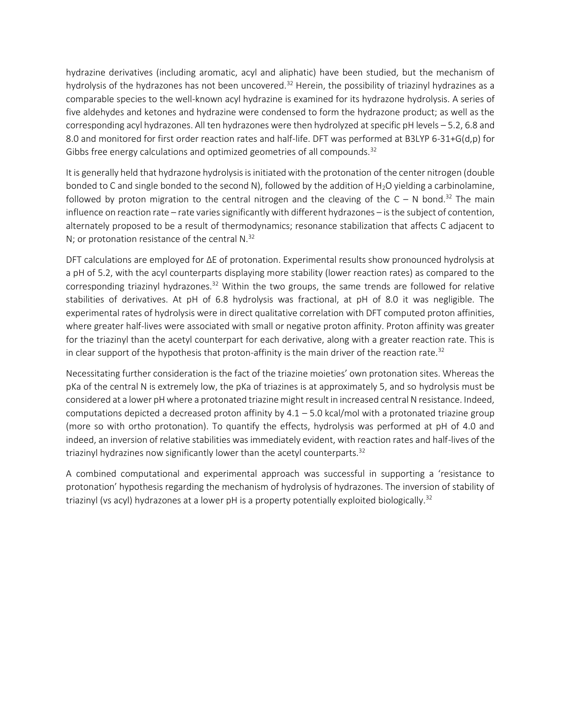hydrazine derivatives (including aromatic, acyl and aliphatic) have been studied, but the mechanism of hydrolysis of the hydrazones has not been uncovered.<sup>32</sup> Herein, the possibility of triazinyl hydrazines as a comparable species to the well-known acyl hydrazine is examined for its hydrazone hydrolysis. A series of five aldehydes and ketones and hydrazine were condensed to form the hydrazone product; as well as the corresponding acyl hydrazones. All ten hydrazones were then hydrolyzed at specific pH levels – 5.2, 6.8 and 8.0 and monitored for first order reaction rates and half-life. DFT was performed at B3LYP 6-31+G(d,p) for Gibbs free energy calculations and optimized geometries of all compounds.<sup>32</sup>

It is generally held that hydrazone hydrolysis is initiated with the protonation of the center nitrogen (double bonded to C and single bonded to the second N), followed by the addition of  $H_2O$  yielding a carbinolamine, followed by proton migration to the central nitrogen and the cleaving of the  $C - N$  bond.<sup>32</sup> The main influence on reaction rate – rate varies significantly with different hydrazones – is the subject of contention, alternately proposed to be a result of thermodynamics; resonance stabilization that affects C adjacent to N; or protonation resistance of the central N.<sup>32</sup>

DFT calculations are employed for ΔE of protonation. Experimental results show pronounced hydrolysis at a pH of 5.2, with the acyl counterparts displaying more stability (lower reaction rates) as compared to the corresponding triazinyl hydrazones. $32$  Within the two groups, the same trends are followed for relative stabilities of derivatives. At pH of 6.8 hydrolysis was fractional, at pH of 8.0 it was negligible. The experimental rates of hydrolysis were in direct qualitative correlation with DFT computed proton affinities, where greater half-lives were associated with small or negative proton affinity. Proton affinity was greater for the triazinyl than the acetyl counterpart for each derivative, along with a greater reaction rate. This is in clear support of the hypothesis that proton-affinity is the main driver of the reaction rate.<sup>32</sup>

Necessitating further consideration is the fact of the triazine moieties' own protonation sites. Whereas the pKa of the central N is extremely low, the pKa of triazines is at approximately 5, and so hydrolysis must be considered at a lower pH where a protonated triazine might result in increased central N resistance. Indeed, computations depicted a decreased proton affinity by 4.1 – 5.0 kcal/mol with a protonated triazine group (more so with ortho protonation). To quantify the effects, hydrolysis was performed at pH of 4.0 and indeed, an inversion of relative stabilities was immediately evident, with reaction rates and half-lives of the triazinyl hydrazines now significantly lower than the acetyl counterparts.<sup>32</sup>

A combined computational and experimental approach was successful in supporting a 'resistance to protonation' hypothesis regarding the mechanism of hydrolysis of hydrazones. The inversion of stability of triazinyl (vs acyl) hydrazones at a lower pH is a property potentially exploited biologically.<sup>32</sup>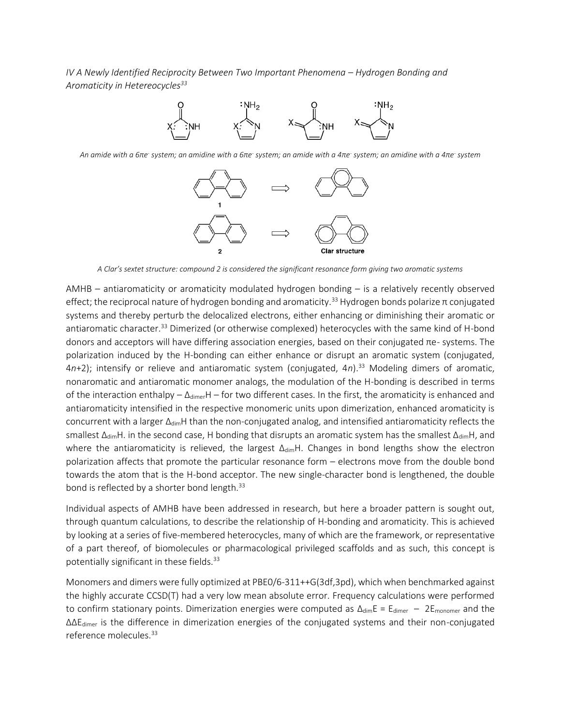*IV A Newly Identified Reciprocity Between Two Important Phenomena – Hydrogen Bonding and Aromaticity in Hetereocycles<sup>33</sup>*



*An amide with a 6πe- system; an amidine with a 6πe- system; an amide with a 4πe- system; an amidine with a 4πe- system*



*A Clar's sextet structure: compound 2 is considered the significant resonance form giving two aromatic systems*

AMHB – antiaromaticity or aromaticity modulated hydrogen bonding – is a relatively recently observed effect; the reciprocal nature of hydrogen bonding and aromaticity.<sup>33</sup> Hydrogen bonds polarize  $\pi$  conjugated systems and thereby perturb the delocalized electrons, either enhancing or diminishing their aromatic or antiaromatic character.<sup>33</sup> Dimerized (or otherwise complexed) heterocycles with the same kind of H-bond donors and acceptors will have differing association energies, based on their conjugated πe- systems. The polarization induced by the H-bonding can either enhance or disrupt an aromatic system (conjugated, 4n+2); intensify or relieve and antiaromatic system (conjugated, 4n).<sup>33</sup> Modeling dimers of aromatic, nonaromatic and antiaromatic monomer analogs, the modulation of the H-bonding is described in terms of the interaction enthalpy –  $\Delta_{dimer}H$  – for two different cases. In the first, the aromaticity is enhanced and antiaromaticity intensified in the respective monomeric units upon dimerization, enhanced aromaticity is concurrent with a larger Δ<sub>dim</sub>H than the non-conjugated analog, and intensified antiaromaticity reflects the smallest  $\Delta_{\text{dim}}$ H. in the second case, H bonding that disrupts an aromatic system has the smallest  $\Delta_{\text{dim}}$ H, and where the antiaromaticity is relieved, the largest ΔdimH. Changes in bond lengths show the electron polarization affects that promote the particular resonance form – electrons move from the double bond towards the atom that is the H-bond acceptor. The new single-character bond is lengthened, the double bond is reflected by a shorter bond length.<sup>33</sup>

Individual aspects of AMHB have been addressed in research, but here a broader pattern is sought out, through quantum calculations, to describe the relationship of H-bonding and aromaticity. This is achieved by looking at a series of five-membered heterocycles, many of which are the framework, or representative of a part thereof, of biomolecules or pharmacological privileged scaffolds and as such, this concept is potentially significant in these fields.<sup>33</sup>

Monomers and dimers were fully optimized at PBE0/6-311++G(3df,3pd), which when benchmarked against the highly accurate CCSD(T) had a very low mean absolute error. Frequency calculations were performed to confirm stationary points. Dimerization energies were computed as  $\Delta_{\text{dim}}E = E_{\text{dimer}} - 2E_{\text{monomer}}$  and the ΔΔEdimer is the difference in dimerization energies of the conjugated systems and their non-conjugated reference molecules.<sup>33</sup>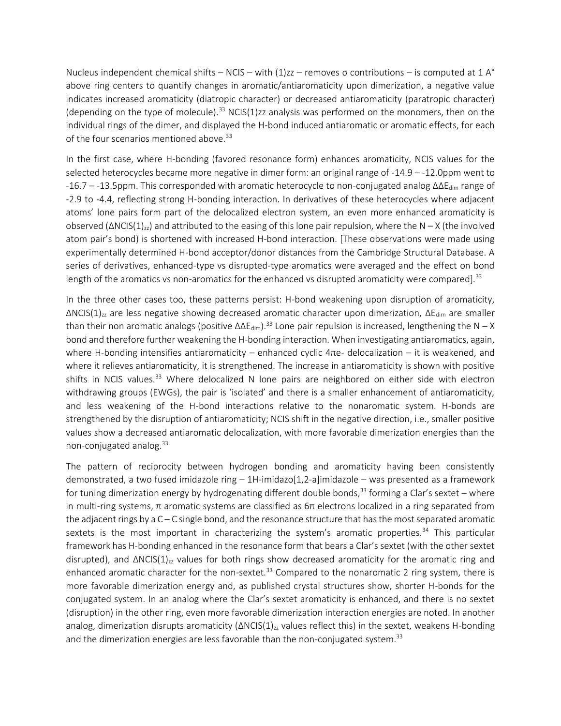Nucleus independent chemical shifts – NCIS – with  $(1)zz$  – removes  $\sigma$  contributions – is computed at 1 A<sup>°</sup> above ring centers to quantify changes in aromatic/antiaromaticity upon dimerization, a negative value indicates increased aromaticity (diatropic character) or decreased antiaromaticity (paratropic character) (depending on the type of molecule).<sup>33</sup> NCIS(1)zz analysis was performed on the monomers, then on the individual rings of the dimer, and displayed the H-bond induced antiaromatic or aromatic effects, for each of the four scenarios mentioned above.<sup>33</sup>

In the first case, where H-bonding (favored resonance form) enhances aromaticity, NCIS values for the selected heterocycles became more negative in dimer form: an original range of -14.9 – -12.0ppm went to -16.7 – -13.5ppm. This corresponded with aromatic heterocycle to non-conjugated analog ΔΔE<sub>dim</sub> range of -2.9 to -4.4, reflecting strong H-bonding interaction. In derivatives of these heterocycles where adjacent atoms' lone pairs form part of the delocalized electron system, an even more enhanced aromaticity is observed  $(ΔNCIS(1)<sub>zz</sub>)$  and attributed to the easing of this lone pair repulsion, where the N – X (the involved atom pair's bond) is shortened with increased H-bond interaction. [These observations were made using experimentally determined H-bond acceptor/donor distances from the Cambridge Structural Database. A series of derivatives, enhanced-type vs disrupted-type aromatics were averaged and the effect on bond length of the aromatics vs non-aromatics for the enhanced vs disrupted aromaticity were compared].<sup>33</sup>

In the three other cases too, these patterns persist: H-bond weakening upon disruption of aromaticity,  $\Delta NCIS(1)_{zz}$  are less negative showing decreased aromatic character upon dimerization,  $\Delta E_{dim}$  are smaller than their non aromatic analogs (positive  $\Delta\Delta E_{\text{dim}}$ ).<sup>33</sup> Lone pair repulsion is increased, lengthening the N – X bond and therefore further weakening the H-bonding interaction. When investigating antiaromatics, again, where H-bonding intensifies antiaromaticity – enhanced cyclic 4πe- delocalization – it is weakened, and where it relieves antiaromaticity, it is strengthened. The increase in antiaromaticity is shown with positive shifts in NCIS values.<sup>33</sup> Where delocalized N lone pairs are neighbored on either side with electron withdrawing groups (EWGs), the pair is 'isolated' and there is a smaller enhancement of antiaromaticity, and less weakening of the H-bond interactions relative to the nonaromatic system. H-bonds are strengthened by the disruption of antiaromaticity; NCIS shift in the negative direction, i.e., smaller positive values show a decreased antiaromatic delocalization, with more favorable dimerization energies than the non-conjugated analog. 33

The pattern of reciprocity between hydrogen bonding and aromaticity having been consistently demonstrated, a two fused imidazole ring  $-1$ H-imidazo $[1,2$ -a]imidazole – was presented as a framework for tuning dimerization energy by hydrogenating different double bonds,<sup>33</sup> forming a Clar's sextet – where in multi-ring systems, π aromatic systems are classified as  $6\pi$  electrons localized in a ring separated from the adjacent rings by a C – C single bond, and the resonance structure that has the most separated aromatic sextets is the most important in characterizing the system's aromatic properties.<sup>34</sup> This particular framework has H-bonding enhanced in the resonance form that bears a Clar's sextet (with the other sextet disrupted), and  $\Delta NCIS(1)_{zz}$  values for both rings show decreased aromaticity for the aromatic ring and enhanced aromatic character for the non-sextet.<sup>33</sup> Compared to the nonaromatic 2 ring system, there is more favorable dimerization energy and, as published crystal structures show, shorter H-bonds for the conjugated system. In an analog where the Clar's sextet aromaticity is enhanced, and there is no sextet (disruption) in the other ring, even more favorable dimerization interaction energies are noted. In another analog, dimerization disrupts aromaticity  $(\triangle NCIS(1)_{zz}$  values reflect this) in the sextet, weakens H-bonding and the dimerization energies are less favorable than the non-conjugated system. $33$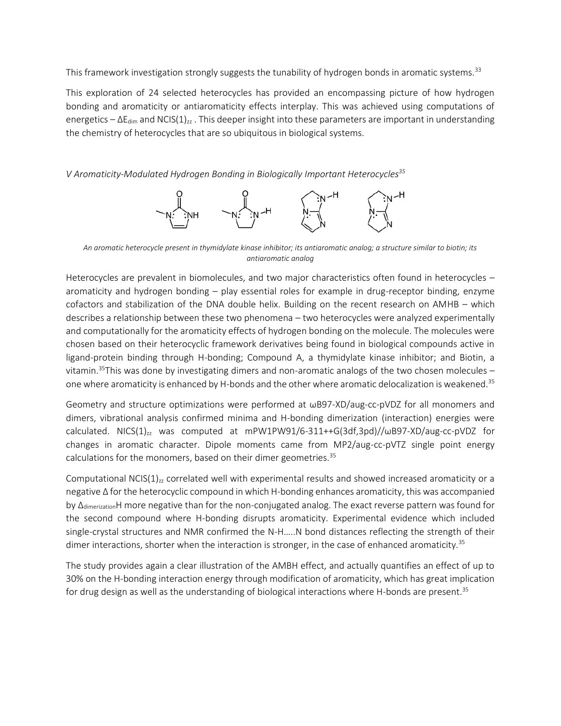This framework investigation strongly suggests the tunability of hydrogen bonds in aromatic systems.<sup>33</sup>

This exploration of 24 selected heterocycles has provided an encompassing picture of how hydrogen bonding and aromaticity or antiaromaticity effects interplay. This was achieved using computations of energetics –  $\Delta E_{dim}$  and NCIS(1)<sub>zz</sub>. This deeper insight into these parameters are important in understanding the chemistry of heterocycles that are so ubiquitous in biological systems.

*V Aromaticity-Modulated Hydrogen Bonding in Biologically Important Heterocycles<sup>35</sup>*



*An aromatic heterocycle present in thymidylate kinase inhibitor; its antiaromatic analog; a structure similar to biotin; its antiaromatic analog*

Heterocycles are prevalent in biomolecules, and two major characteristics often found in heterocycles – aromaticity and hydrogen bonding – play essential roles for example in drug-receptor binding, enzyme cofactors and stabilization of the DNA double helix. Building on the recent research on AMHB – which describes a relationship between these two phenomena – two heterocycles were analyzed experimentally and computationally for the aromaticity effects of hydrogen bonding on the molecule. The molecules were chosen based on their heterocyclic framework derivatives being found in biological compounds active in ligand-protein binding through H-bonding; Compound A, a thymidylate kinase inhibitor; and Biotin, a vitamin.<sup>35</sup>This was done by investigating dimers and non-aromatic analogs of the two chosen molecules – one where aromaticity is enhanced by H-bonds and the other where aromatic delocalization is weakened.<sup>35</sup>

Geometry and structure optimizations were performed at ωB97-XD/aug-cc-pVDZ for all monomers and dimers, vibrational analysis confirmed minima and H-bonding dimerization (interaction) energies were calculated. NICS(1) $_{zz}$  was computed at mPW1PW91/6-311++G(3df,3pd)// $\omega$ B97-XD/aug-cc-pVDZ for changes in aromatic character. Dipole moments came from MP2/aug-cc-pVTZ single point energy calculations for the monomers, based on their dimer geometries.<sup>35</sup>

Computational NCIS( $1$ )<sub>zz</sub> correlated well with experimental results and showed increased aromaticity or a negative Δ for the heterocyclic compound in which H-bonding enhances aromaticity, this was accompanied by Δ<sub>dimerization</sub>H more negative than for the non-conjugated analog. The exact reverse pattern was found for the second compound where H-bonding disrupts aromaticity. Experimental evidence which included single-crystal structures and NMR confirmed the N-H…..N bond distances reflecting the strength of their dimer interactions, shorter when the interaction is stronger, in the case of enhanced aromaticity.<sup>35</sup>

The study provides again a clear illustration of the AMBH effect, and actually quantifies an effect of up to 30% on the H-bonding interaction energy through modification of aromaticity, which has great implication for drug design as well as the understanding of biological interactions where H-bonds are present. $^{\rm 35}$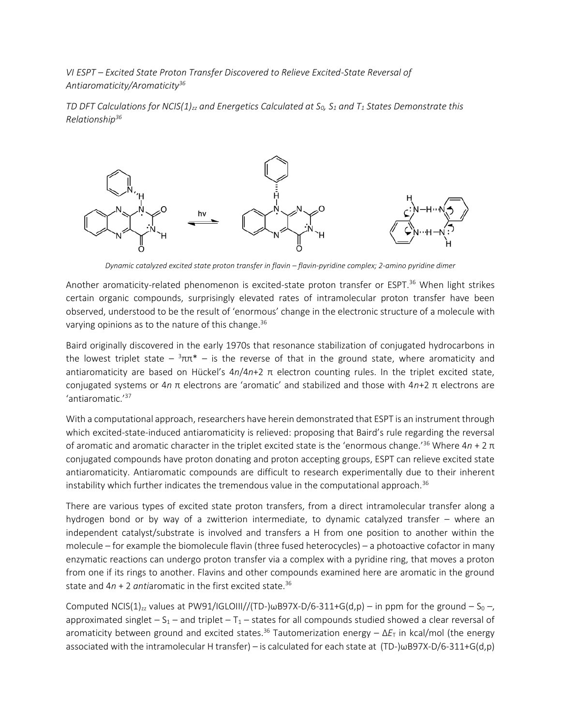*VI ESPT – Excited State Proton Transfer Discovered to Relieve Excited-State Reversal of Antiaromaticity/Aromaticity<sup>36</sup>*

*TD DFT Calculations for NCIS(1)zz and Energetics Calculated at S0, S<sup>1</sup> and T<sup>1</sup> States Demonstrate this Relationship<sup>36</sup>*



*Dynamic catalyzed excited state proton transfer in flavin – flavin-pyridine complex; 2-amino pyridine dimer*

Another aromaticity-related phenomenon is excited-state proton transfer or ESPT.<sup>36</sup> When light strikes certain organic compounds, surprisingly elevated rates of intramolecular proton transfer have been observed, understood to be the result of 'enormous' change in the electronic structure of a molecule with varying opinions as to the nature of this change.<sup>36</sup>

Baird originally discovered in the early 1970s that resonance stabilization of conjugated hydrocarbons in the lowest triplet state  $\frac{3}{2}$ ππ<sup>\*</sup>  $-$  is the reverse of that in the ground state, where aromaticity and antiaromaticity are based on Hückel's 4*n*/4*n*+2 π electron counting rules. In the triplet excited state, conjugated systems or 4*n* π electrons are 'aromatic' and stabilized and those with 4*n*+2 π electrons are 'antiaromatic.' 37

With a computational approach, researchers have herein demonstrated that ESPT is an instrument through which excited-state-induced antiaromaticity is relieved: proposing that Baird's rule regarding the reversal of aromatic and aromatic character in the triplet excited state is the 'enormous change.'<sup>36</sup> Where 4*n* + 2 π conjugated compounds have proton donating and proton accepting groups, ESPT can relieve excited state antiaromaticity. Antiaromatic compounds are difficult to research experimentally due to their inherent instability which further indicates the tremendous value in the computational approach.<sup>36</sup>

There are various types of excited state proton transfers, from a direct intramolecular transfer along a hydrogen bond or by way of a zwitterion intermediate, to dynamic catalyzed transfer – where an independent catalyst/substrate is involved and transfers a H from one position to another within the molecule – for example the biomolecule flavin (three fused heterocycles) – a photoactive cofactor in many enzymatic reactions can undergo proton transfer via a complex with a pyridine ring, that moves a proton from one if its rings to another. Flavins and other compounds examined here are aromatic in the ground state and 4*n* + 2 *anti*aromatic in the first excited state.<sup>36</sup>

Computed NCIS(1)<sub>77</sub> values at PW91/IGLOIII//(TD-)ωB97X-D/6-311+G(d,p) – in ppm for the ground – S<sub>0</sub> –, approximated singlet –  $S_1$  – and triplet –  $T_1$  – states for all compounds studied showed a clear reversal of aromaticity between ground and excited states.<sup>36</sup> Tautomerization energy – Δ*E*<sub>T</sub> in kcal/mol (the energy associated with the intramolecular H transfer) – is calculated for each state at (TD-)ωB97X-D/6-311+G(d,p)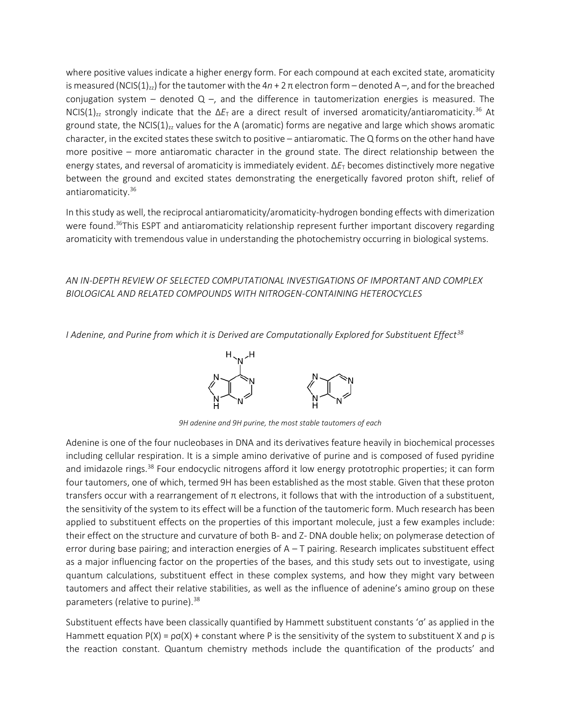where positive values indicate a higher energy form. For each compound at each excited state, aromaticity is measured (NCIS(1)<sub>zz</sub>) for the tautomer with the  $4n + 2π$  electron form – denoted A –, and for the breached conjugation system – denoted  $Q -$ , and the difference in tautomerization energies is measured. The NCIS(1)<sub>zz</sub> strongly indicate that the  $\Delta E_T$  are a direct result of inversed aromaticity/antiaromaticity.<sup>36</sup> At ground state, the NCIS( $1$ )<sub>zz</sub> values for the A (aromatic) forms are negative and large which shows aromatic character, in the excited states these switch to positive – antiaromatic. The Q forms on the other hand have more positive – more antiaromatic character in the ground state. The direct relationship between the energy states, and reversal of aromaticity is immediately evident. Δ*E*<sup>T</sup> becomes distinctively more negative between the ground and excited states demonstrating the energetically favored proton shift, relief of antiaromaticity.<sup>36</sup>

In this study as well, the reciprocal antiaromaticity/aromaticity-hydrogen bonding effects with dimerization were found.<sup>36</sup>This ESPT and antiaromaticity relationship represent further important discovery regarding aromaticity with tremendous value in understanding the photochemistry occurring in biological systems.

# *AN IN-DEPTH REVIEW OF SELECTED COMPUTATIONAL INVESTIGATIONS OF IMPORTANT AND COMPLEX BIOLOGICAL AND RELATED COMPOUNDS WITH NITROGEN-CONTAINING HETEROCYCLES*

*I Adenine, and Purine from which it is Derived are Computationally Explored for Substituent Effect<sup>38</sup>*



*9H adenine and 9H purine, the most stable tautomers of each*

Adenine is one of the four nucleobases in DNA and its derivatives feature heavily in biochemical processes including cellular respiration. It is a simple amino derivative of purine and is composed of fused pyridine and imidazole rings.<sup>38</sup> Four endocyclic nitrogens afford it low energy prototrophic properties; it can form four tautomers, one of which, termed 9H has been established as the most stable. Given that these proton transfers occur with a rearrangement of π electrons, it follows that with the introduction of a substituent, the sensitivity of the system to its effect will be a function of the tautomeric form. Much research has been applied to substituent effects on the properties of this important molecule, just a few examples include: their effect on the structure and curvature of both B- and Z- DNA double helix; on polymerase detection of error during base pairing; and interaction energies of A – T pairing. Research implicates substituent effect as a major influencing factor on the properties of the bases, and this study sets out to investigate, using quantum calculations, substituent effect in these complex systems, and how they might vary between tautomers and affect their relative stabilities, as well as the influence of adenine's amino group on these parameters (relative to purine).<sup>38</sup>

Substituent effects have been classically quantified by Hammett substituent constants 'σ' as applied in the Hammett equation  $P(X) = \rho \sigma(X)$  + constant where P is the sensitivity of the system to substituent X and  $\rho$  is the reaction constant. Quantum chemistry methods include the quantification of the products' and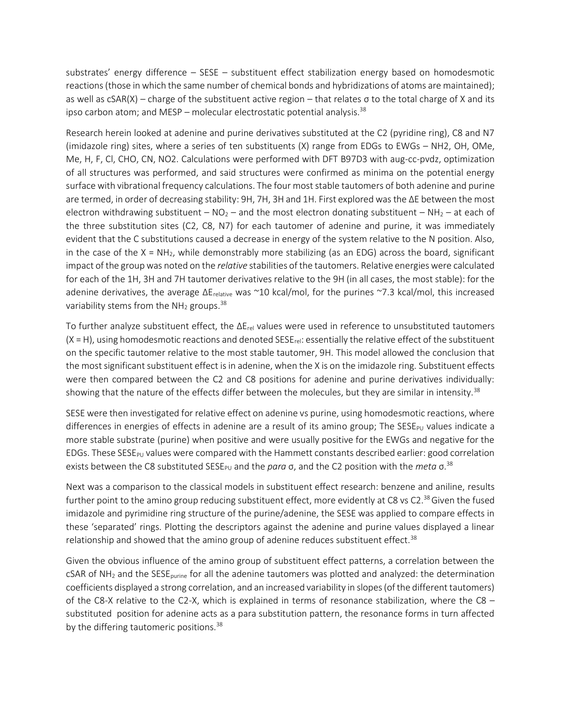substrates' energy difference – SESE – substituent effect stabilization energy based on homodesmotic reactions (those in which the same number of chemical bonds and hybridizations of atoms are maintained); as well as cSAR(X) – charge of the substituent active region – that relates σ to the total charge of X and its ipso carbon atom; and MESP – molecular electrostatic potential analysis.<sup>38</sup>

Research herein looked at adenine and purine derivatives substituted at the C2 (pyridine ring), C8 and N7 (imidazole ring) sites, where a series of ten substituents (X) range from EDGs to EWGs – NH2, OH, OMe, Me, H, F, Cl, CHO, CN, NO2. Calculations were performed with DFT B97D3 with aug-cc-pvdz, optimization of all structures was performed, and said structures were confirmed as minima on the potential energy surface with vibrational frequency calculations. The four most stable tautomers of both adenine and purine are termed, in order of decreasing stability: 9H, 7H, 3H and 1H. First explored was the ΔE between the most electron withdrawing substituent –  $NO<sub>2</sub>$  – and the most electron donating substituent – NH<sub>2</sub> – at each of the three substitution sites (C2, C8, N7) for each tautomer of adenine and purine, it was immediately evident that the C substitutions caused a decrease in energy of the system relative to the N position. Also, in the case of the  $X = NH_2$ , while demonstrably more stabilizing (as an EDG) across the board, significant impact of the group was noted on the *relative* stabilities of the tautomers. Relative energies were calculated for each of the 1H, 3H and 7H tautomer derivatives relative to the 9H (in all cases, the most stable): for the adenine derivatives, the average ΔE<sub>relative</sub> was ~10 kcal/mol, for the purines ~7.3 kcal/mol, this increased variability stems from the  $NH<sub>2</sub>$  groups.<sup>38</sup>

To further analyze substituent effect, the  $\Delta E_{rel}$  values were used in reference to unsubstituted tautomers  $(X = H)$ , using homodesmotic reactions and denoted SESE<sub>rel</sub>: essentially the relative effect of the substituent on the specific tautomer relative to the most stable tautomer, 9H. This model allowed the conclusion that the most significant substituent effect is in adenine, when the X is on the imidazole ring. Substituent effects were then compared between the C2 and C8 positions for adenine and purine derivatives individually: showing that the nature of the effects differ between the molecules, but they are similar in intensity.<sup>38</sup>

SESE were then investigated for relative effect on adenine vs purine, using homodesmotic reactions, where differences in energies of effects in adenine are a result of its amino group; The SESE<sub>PU</sub> values indicate a more stable substrate (purine) when positive and were usually positive for the EWGs and negative for the EDGs. These SESE<sub>PU</sub> values were compared with the Hammett constants described earlier: good correlation exists between the C8 substituted SESE<sub>PU</sub> and the *para* σ, and the C2 position with the *meta* σ.<sup>38</sup>

Next was a comparison to the classical models in substituent effect research: benzene and aniline, results further point to the amino group reducing substituent effect, more evidently at C8 vs C2. $^{38}$  Given the fused imidazole and pyrimidine ring structure of the purine/adenine, the SESE was applied to compare effects in these 'separated' rings. Plotting the descriptors against the adenine and purine values displayed a linear relationship and showed that the amino group of adenine reduces substituent effect. $38$ 

Given the obvious influence of the amino group of substituent effect patterns, a correlation between the cSAR of NH<sub>2</sub> and the SESE<sub>purine</sub> for all the adenine tautomers was plotted and analyzed: the determination coefficients displayed a strong correlation, and an increased variability in slopes (of the different tautomers) of the C8-X relative to the C2-X, which is explained in terms of resonance stabilization, where the C8 – substituted position for adenine acts as a para substitution pattern, the resonance forms in turn affected by the differing tautomeric positions. $38$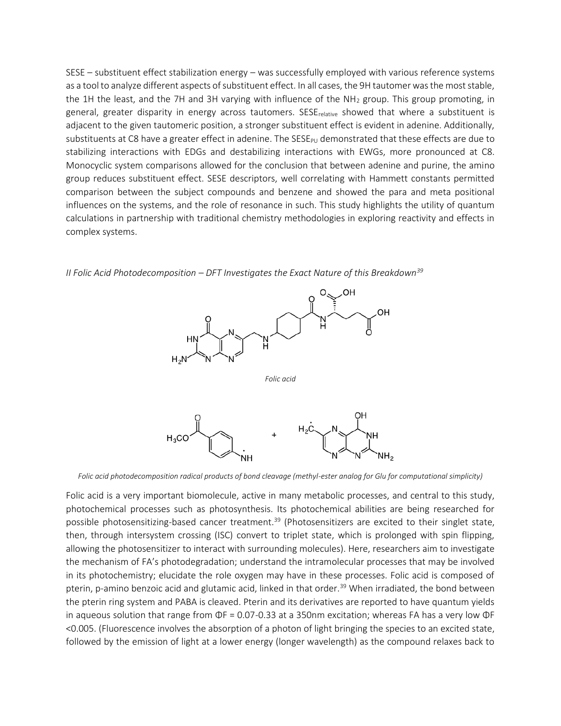SESE – substituent effect stabilization energy – was successfully employed with various reference systems as a tool to analyze different aspects of substituent effect. In all cases, the 9H tautomer was the most stable, the 1H the least, and the 7H and 3H varying with influence of the  $NH<sub>2</sub>$  group. This group promoting, in general, greater disparity in energy across tautomers. SESE<sub>relative</sub> showed that where a substituent is adjacent to the given tautomeric position, a stronger substituent effect is evident in adenine. Additionally, substituents at C8 have a greater effect in adenine. The  $SESp<sub>U</sub>$  demonstrated that these effects are due to stabilizing interactions with EDGs and destabilizing interactions with EWGs, more pronounced at C8. Monocyclic system comparisons allowed for the conclusion that between adenine and purine, the amino group reduces substituent effect. SESE descriptors, well correlating with Hammett constants permitted comparison between the subject compounds and benzene and showed the para and meta positional influences on the systems, and the role of resonance in such. This study highlights the utility of quantum calculations in partnership with traditional chemistry methodologies in exploring reactivity and effects in complex systems.



*II Folic Acid Photodecomposition – DFT Investigates the Exact Nature of this Breakdown<sup>39</sup>*

*Folic acid photodecomposition radical products of bond cleavage (methyl-ester analog for Glu for computational simplicity)*

Folic acid is a very important biomolecule, active in many metabolic processes, and central to this study, photochemical processes such as photosynthesis. Its photochemical abilities are being researched for possible photosensitizing-based cancer treatment.<sup>39</sup> (Photosensitizers are excited to their singlet state, then, through intersystem crossing (ISC) convert to triplet state, which is prolonged with spin flipping, allowing the photosensitizer to interact with surrounding molecules). Here, researchers aim to investigate the mechanism of FA's photodegradation; understand the intramolecular processes that may be involved in its photochemistry; elucidate the role oxygen may have in these processes. Folic acid is composed of pterin, p-amino benzoic acid and glutamic acid, linked in that order.<sup>39</sup> When irradiated, the bond between the pterin ring system and PABA is cleaved. Pterin and its derivatives are reported to have quantum yields in aqueous solution that range from ΦF = 0.07-0.33 at a 350nm excitation; whereas FA has a very low ΦF <0.005. (Fluorescence involves the absorption of a photon of light bringing the species to an excited state, followed by the emission of light at a lower energy (longer wavelength) as the compound relaxes back to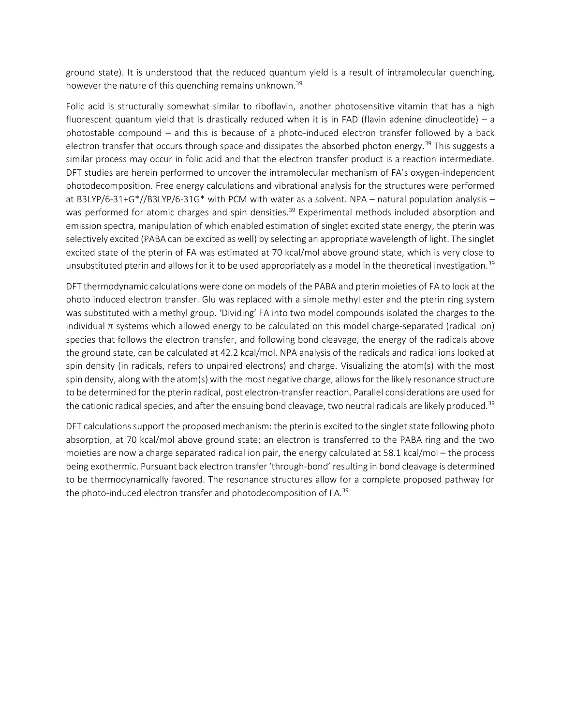ground state). It is understood that the reduced quantum yield is a result of intramolecular quenching, however the nature of this quenching remains unknown.<sup>39</sup>

Folic acid is structurally somewhat similar to riboflavin, another photosensitive vitamin that has a high fluorescent quantum yield that is drastically reduced when it is in FAD (flavin adenine dinucleotide) – a photostable compound – and this is because of a photo-induced electron transfer followed by a back electron transfer that occurs through space and dissipates the absorbed photon energy.<sup>39</sup> This suggests a similar process may occur in folic acid and that the electron transfer product is a reaction intermediate. DFT studies are herein performed to uncover the intramolecular mechanism of FA's oxygen-independent photodecomposition. Free energy calculations and vibrational analysis for the structures were performed at B3LYP/6-31+G\*//B3LYP/6-31G\* with PCM with water as a solvent. NPA – natural population analysis – was performed for atomic charges and spin densities.<sup>39</sup> Experimental methods included absorption and emission spectra, manipulation of which enabled estimation of singlet excited state energy, the pterin was selectively excited (PABA can be excited as well) by selecting an appropriate wavelength of light. The singlet excited state of the pterin of FA was estimated at 70 kcal/mol above ground state, which is very close to unsubstituted pterin and allows for it to be used appropriately as a model in the theoretical investigation.<sup>39</sup>

DFT thermodynamic calculations were done on models of the PABA and pterin moieties of FA to look at the photo induced electron transfer. Glu was replaced with a simple methyl ester and the pterin ring system was substituted with a methyl group. 'Dividing' FA into two model compounds isolated the charges to the individual π systems which allowed energy to be calculated on this model charge-separated (radical ion) species that follows the electron transfer, and following bond cleavage, the energy of the radicals above the ground state, can be calculated at 42.2 kcal/mol. NPA analysis of the radicals and radical ions looked at spin density (in radicals, refers to unpaired electrons) and charge. Visualizing the atom(s) with the most spin density, along with the atom(s) with the most negative charge, allows for the likely resonance structure to be determined for the pterin radical, post electron-transfer reaction. Parallel considerations are used for the cationic radical species, and after the ensuing bond cleavage, two neutral radicals are likely produced.<sup>39</sup>

DFT calculations support the proposed mechanism: the pterin is excited to the singlet state following photo absorption, at 70 kcal/mol above ground state; an electron is transferred to the PABA ring and the two moieties are now a charge separated radical ion pair, the energy calculated at 58.1 kcal/mol – the process being exothermic. Pursuant back electron transfer 'through-bond' resulting in bond cleavage is determined to be thermodynamically favored. The resonance structures allow for a complete proposed pathway for the photo-induced electron transfer and photodecomposition of FA.<sup>39</sup>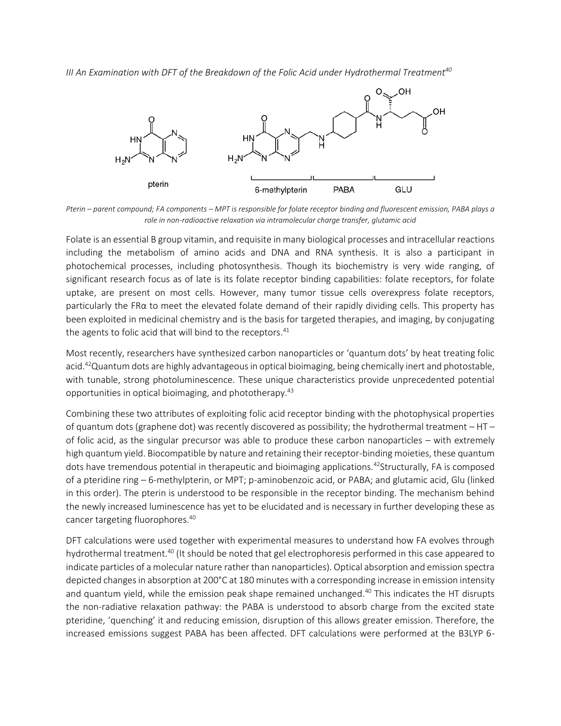*III An Examination with DFT of the Breakdown of the Folic Acid under Hydrothermal Treatment<sup>40</sup>*



*Pterin – parent compound; FA components – MPT is responsible for folate receptor binding and fluorescent emission, PABA plays a role in non-radioactive relaxation via intramolecular charge transfer, glutamic acid*

Folate is an essential B group vitamin, and requisite in many biological processes and intracellular reactions including the metabolism of amino acids and DNA and RNA synthesis. It is also a participant in photochemical processes, including photosynthesis. Though its biochemistry is very wide ranging, of significant research focus as of late is its folate receptor binding capabilities: folate receptors, for folate uptake, are present on most cells. However, many tumor tissue cells overexpress folate receptors, particularly the FRα to meet the elevated folate demand of their rapidly dividing cells. This property has been exploited in medicinal chemistry and is the basis for targeted therapies, and imaging, by conjugating the agents to folic acid that will bind to the receptors.<sup>41</sup>

Most recently, researchers have synthesized carbon nanoparticles or 'quantum dots' by heat treating folic acid.<sup>42</sup>Quantum dots are highly advantageous in optical bioimaging, being chemically inert and photostable, with tunable, strong photoluminescence. These unique characteristics provide unprecedented potential opportunities in optical bioimaging, and phototherapy. 43

Combining these two attributes of exploiting folic acid receptor binding with the photophysical properties of quantum dots (graphene dot) was recently discovered as possibility; the hydrothermal treatment – HT – of folic acid, as the singular precursor was able to produce these carbon nanoparticles – with extremely high quantum yield. Biocompatible by nature and retaining their receptor-binding moieties, these quantum dots have tremendous potential in therapeutic and bioimaging applications.<sup>42</sup>Structurally, FA is composed of a pteridine ring – 6-methylpterin, or MPT; p-aminobenzoic acid, or PABA; and glutamic acid, Glu (linked in this order). The pterin is understood to be responsible in the receptor binding. The mechanism behind the newly increased luminescence has yet to be elucidated and is necessary in further developing these as cancer targeting fluorophores.<sup>40</sup>

DFT calculations were used together with experimental measures to understand how FA evolves through hydrothermal treatment.<sup>40</sup> (It should be noted that gel electrophoresis performed in this case appeared to indicate particles of a molecular nature rather than nanoparticles). Optical absorption and emission spectra depicted changes in absorption at 200°C at 180 minutes with a corresponding increase in emission intensity and quantum yield, while the emission peak shape remained unchanged.<sup>40</sup> This indicates the HT disrupts the non-radiative relaxation pathway: the PABA is understood to absorb charge from the excited state pteridine, 'quenching' it and reducing emission, disruption of this allows greater emission. Therefore, the increased emissions suggest PABA has been affected. DFT calculations were performed at the B3LYP 6-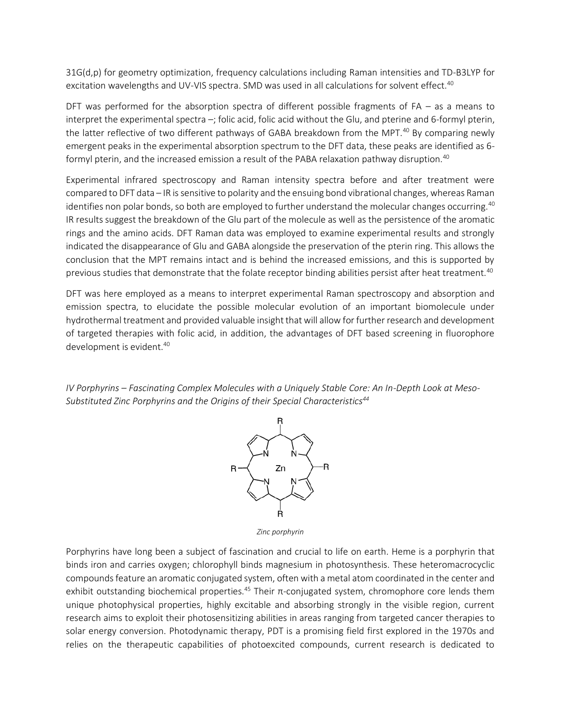31G(d,p) for geometry optimization, frequency calculations including Raman intensities and TD-B3LYP for excitation wavelengths and UV-VIS spectra. SMD was used in all calculations for solvent effect.<sup>40</sup>

DFT was performed for the absorption spectra of different possible fragments of FA – as a means to interpret the experimental spectra –; folic acid, folic acid without the Glu, and pterine and 6-formyl pterin, the latter reflective of two different pathways of GABA breakdown from the MPT.<sup>40</sup> By comparing newly emergent peaks in the experimental absorption spectrum to the DFT data, these peaks are identified as 6 formyl pterin, and the increased emission a result of the PABA relaxation pathway disruption.<sup>40</sup>

Experimental infrared spectroscopy and Raman intensity spectra before and after treatment were compared to DFT data – IR is sensitive to polarity and the ensuing bond vibrational changes, whereas Raman identifies non polar bonds, so both are employed to further understand the molecular changes occurring.<sup>40</sup> IR results suggest the breakdown of the Glu part of the molecule as well as the persistence of the aromatic rings and the amino acids. DFT Raman data was employed to examine experimental results and strongly indicated the disappearance of Glu and GABA alongside the preservation of the pterin ring. This allows the conclusion that the MPT remains intact and is behind the increased emissions, and this is supported by previous studies that demonstrate that the folate receptor binding abilities persist after heat treatment.<sup>40</sup>

DFT was here employed as a means to interpret experimental Raman spectroscopy and absorption and emission spectra, to elucidate the possible molecular evolution of an important biomolecule under hydrothermal treatment and provided valuable insight that will allow for further research and development of targeted therapies with folic acid, in addition, the advantages of DFT based screening in fluorophore development is evident.<sup>40</sup>

*IV Porphyrins – Fascinating Complex Molecules with a Uniquely Stable Core: An In-Depth Look at Meso-Substituted Zinc Porphyrins and the Origins of their Special Characteristics<sup>44</sup>*



*Zinc porphyrin*

Porphyrins have long been a subject of fascination and crucial to life on earth. Heme is a porphyrin that binds iron and carries oxygen; chlorophyll binds magnesium in photosynthesis. These heteromacrocyclic compounds feature an aromatic conjugated system, often with a metal atom coordinated in the center and exhibit outstanding biochemical properties.<sup>45</sup> Their  $\pi$ -conjugated system, chromophore core lends them unique photophysical properties, highly excitable and absorbing strongly in the visible region, current research aims to exploit their photosensitizing abilities in areas ranging from targeted cancer therapies to solar energy conversion. Photodynamic therapy, PDT is a promising field first explored in the 1970s and relies on the therapeutic capabilities of photoexcited compounds, current research is dedicated to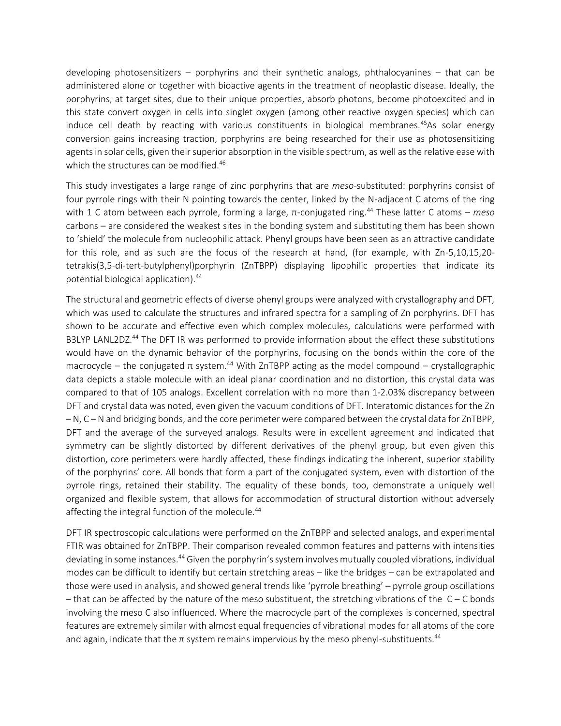developing photosensitizers – porphyrins and their synthetic analogs, phthalocyanines – that can be administered alone or together with bioactive agents in the treatment of neoplastic disease. Ideally, the porphyrins, at target sites, due to their unique properties, absorb photons, become photoexcited and in this state convert oxygen in cells into singlet oxygen (among other reactive oxygen species) which can induce cell death by reacting with various constituents in biological membranes.<sup>45</sup>As solar energy conversion gains increasing traction, porphyrins are being researched for their use as photosensitizing agents in solar cells, given their superior absorption in the visible spectrum, as well as the relative ease with which the structures can be modified.<sup>46</sup>

This study investigates a large range of zinc porphyrins that are *meso*-substituted: porphyrins consist of four pyrrole rings with their N pointing towards the center, linked by the N-adjacent C atoms of the ring with 1 C atom between each pyrrole, forming a large, π-conjugated ring.<sup>44</sup> These latter C atoms – *meso* carbons – are considered the weakest sites in the bonding system and substituting them has been shown to 'shield' the molecule from nucleophilic attack. Phenyl groups have been seen as an attractive candidate for this role, and as such are the focus of the research at hand, (for example, with Zn-5,10,15,20 tetrakis(3,5-di-tert-butylphenyl)porphyrin (ZnTBPP) displaying lipophilic properties that indicate its potential biological application).<sup>44</sup>

The structural and geometric effects of diverse phenyl groups were analyzed with crystallography and DFT, which was used to calculate the structures and infrared spectra for a sampling of Zn porphyrins. DFT has shown to be accurate and effective even which complex molecules, calculations were performed with B3LYP LANL2DZ.<sup>44</sup> The DFT IR was performed to provide information about the effect these substitutions would have on the dynamic behavior of the porphyrins, focusing on the bonds within the core of the macrocycle – the conjugated π system.<sup>44</sup> With ZnTBPP acting as the model compound – crystallographic data depicts a stable molecule with an ideal planar coordination and no distortion, this crystal data was compared to that of 105 analogs. Excellent correlation with no more than 1-2.03% discrepancy between DFT and crystal data was noted, even given the vacuum conditions of DFT. Interatomic distances for the Zn – N, C – N and bridging bonds, and the core perimeter were compared between the crystal data for ZnTBPP, DFT and the average of the surveyed analogs. Results were in excellent agreement and indicated that symmetry can be slightly distorted by different derivatives of the phenyl group, but even given this distortion, core perimeters were hardly affected, these findings indicating the inherent, superior stability of the porphyrins' core. All bonds that form a part of the conjugated system, even with distortion of the pyrrole rings, retained their stability. The equality of these bonds, too, demonstrate a uniquely well organized and flexible system, that allows for accommodation of structural distortion without adversely affecting the integral function of the molecule.<sup>44</sup>

DFT IR spectroscopic calculations were performed on the ZnTBPP and selected analogs, and experimental FTIR was obtained for ZnTBPP. Their comparison revealed common features and patterns with intensities deviating in some instances.<sup>44</sup> Given the porphyrin's system involves mutually coupled vibrations, individual modes can be difficult to identify but certain stretching areas – like the bridges – can be extrapolated and those were used in analysis, and showed general trends like 'pyrrole breathing' – pyrrole group oscillations  $-$  that can be affected by the nature of the meso substituent, the stretching vibrations of the  $C - C$  bonds involving the meso C also influenced. Where the macrocycle part of the complexes is concerned, spectral features are extremely similar with almost equal frequencies of vibrational modes for all atoms of the core and again, indicate that the  $\pi$  system remains impervious by the meso phenyl-substituents.<sup>44</sup>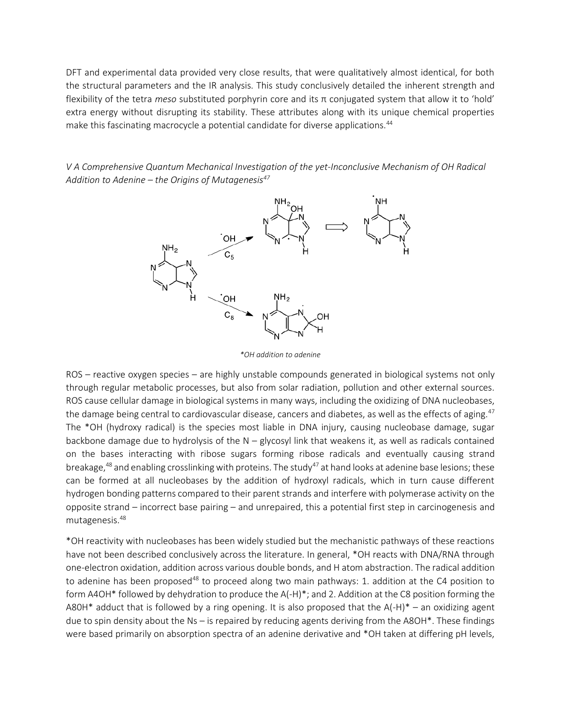DFT and experimental data provided very close results, that were qualitatively almost identical, for both the structural parameters and the IR analysis. This study conclusively detailed the inherent strength and flexibility of the tetra *meso* substituted porphyrin core and its π conjugated system that allow it to 'hold' extra energy without disrupting its stability. These attributes along with its unique chemical properties make this fascinating macrocycle a potential candidate for diverse applications.<sup>44</sup>

*V A Comprehensive Quantum Mechanical Investigation of the yet-Inconclusive Mechanism of OH Radical Addition to Adenine – the Origins of Mutagenesis<sup>47</sup>*



*\*OH addition to adenine*

ROS – reactive oxygen species – are highly unstable compounds generated in biological systems not only through regular metabolic processes, but also from solar radiation, pollution and other external sources. ROS cause cellular damage in biological systems in many ways, including the oxidizing of DNA nucleobases, the damage being central to cardiovascular disease, cancers and diabetes, as well as the effects of aging.<sup>47</sup> The \*OH (hydroxy radical) is the species most liable in DNA injury, causing nucleobase damage, sugar backbone damage due to hydrolysis of the  $N -$  glycosyl link that weakens it, as well as radicals contained on the bases interacting with ribose sugars forming ribose radicals and eventually causing strand breakage,<sup>48</sup> and enabling crosslinking with proteins. The study<sup>47</sup> at hand looks at adenine base lesions; these can be formed at all nucleobases by the addition of hydroxyl radicals, which in turn cause different hydrogen bonding patterns compared to their parent strands and interfere with polymerase activity on the opposite strand – incorrect base pairing – and unrepaired, this a potential first step in carcinogenesis and mutagenesis.<sup>48</sup>

\*OH reactivity with nucleobases has been widely studied but the mechanistic pathways of these reactions have not been described conclusively across the literature. In general, \*OH reacts with DNA/RNA through one-electron oxidation, addition across various double bonds, and H atom abstraction. The radical addition to adenine has been proposed<sup>48</sup> to proceed along two main pathways: 1. addition at the C4 position to form A4OH\* followed by dehydration to produce the A(-H)\*; and 2. Addition at the C8 position forming the A80H\* adduct that is followed by a ring opening. It is also proposed that the  $A(-H)^* -$  an oxidizing agent due to spin density about the Ns – is repaired by reducing agents deriving from the A8OH\*. These findings were based primarily on absorption spectra of an adenine derivative and \*OH taken at differing pH levels,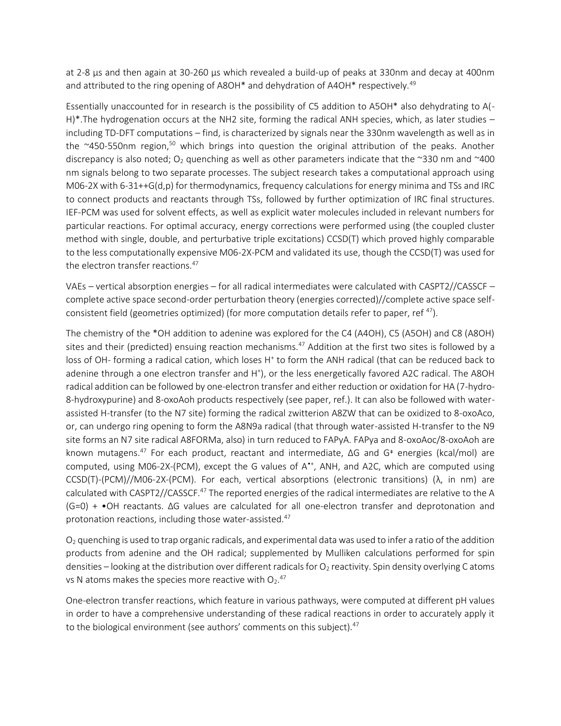at 2-8 μs and then again at 30-260 μs which revealed a build-up of peaks at 330nm and decay at 400nm and attributed to the ring opening of A8OH<sup>\*</sup> and dehydration of A4OH<sup>\*</sup> respectively.<sup>49</sup>

Essentially unaccounted for in research is the possibility of C5 addition to A5OH\* also dehydrating to A(- H)\*.The hydrogenation occurs at the NH2 site, forming the radical ANH species, which, as later studies – including TD-DFT computations – find, is characterized by signals near the 330nm wavelength as well as in the  $\approx$ 450-550nm region,<sup>50</sup> which brings into question the original attribution of the peaks. Another discrepancy is also noted; O<sub>2</sub> quenching as well as other parameters indicate that the ~330 nm and ~400 nm signals belong to two separate processes. The subject research takes a computational approach using M06-2X with 6-31++G(d,p) for thermodynamics, frequency calculations for energy minima and TSs and IRC to connect products and reactants through TSs, followed by further optimization of IRC final structures. IEF-PCM was used for solvent effects, as well as explicit water molecules included in relevant numbers for particular reactions. For optimal accuracy, energy corrections were performed using (the coupled cluster method with single, double, and perturbative triple excitations) CCSD(T) which proved highly comparable to the less computationally expensive M06-2X-PCM and validated its use, though the CCSD(T) was used for the electron transfer reactions.<sup>47</sup>

VAEs – vertical absorption energies – for all radical intermediates were calculated with CASPT2//CASSCF – complete active space second-order perturbation theory (energies corrected)//complete active space selfconsistent field (geometries optimized) (for more computation details refer to paper, ref<sup>47</sup>).

The chemistry of the \*OH addition to adenine was explored for the C4 (A4OH), C5 (A5OH) and C8 (A8OH) sites and their (predicted) ensuing reaction mechanisms. $47$  Addition at the first two sites is followed by a loss of OH- forming a radical cation, which loses H<sup>+</sup> to form the ANH radical (that can be reduced back to adenine through a one electron transfer and H<sup>+</sup>), or the less energetically favored A2C radical. The A8OH radical addition can be followed by one-electron transfer and either reduction or oxidation for HA (7-hydro-8-hydroxypurine) and 8-oxoAoh products respectively (see paper, ref.). It can also be followed with waterassisted H-transfer (to the N7 site) forming the radical zwitterion A8ZW that can be oxidized to 8-oxoAco, or, can undergo ring opening to form the A8N9a radical (that through water-assisted H-transfer to the N9 site forms an N7 site radical A8FORMa, also) in turn reduced to FAPyA. FAPya and 8-oxoAoc/8-oxoAoh are known mutagens.<sup>47</sup> For each product, reactant and intermediate, ΔG and G<sup>⧧</sup> energies (kcal/mol) are computed, using M06-2X-(PCM), except the G values of A<sup>++</sup>, ANH, and A2C, which are computed using CCSD(T)-(PCM)//M06-2X-(PCM). For each, vertical absorptions (electronic transitions) (λ, in nm) are calculated with CASPT2//CASSCF.<sup>47</sup> The reported energies of the radical intermediates are relative to the A (G=0) + •OH reactants. ΔG values are calculated for all one-electron transfer and deprotonation and protonation reactions, including those water-assisted.<sup>47</sup>

O<sup>2</sup> quenching is used to trap organic radicals, and experimental data was used to infer a ratio of the addition products from adenine and the OH radical; supplemented by Mulliken calculations performed for spin densities – looking at the distribution over different radicals for  $O_2$  reactivity. Spin density overlying C atoms vs N atoms makes the species more reactive with  $O_2$ .<sup>47</sup>

One-electron transfer reactions, which feature in various pathways, were computed at different pH values in order to have a comprehensive understanding of these radical reactions in order to accurately apply it to the biological environment (see authors' comments on this subject).<sup>47</sup>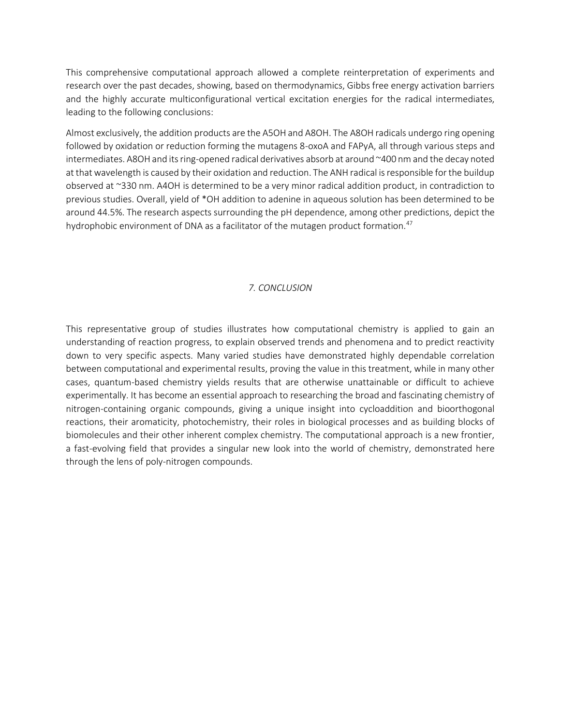This comprehensive computational approach allowed a complete reinterpretation of experiments and research over the past decades, showing, based on thermodynamics, Gibbs free energy activation barriers and the highly accurate multiconfigurational vertical excitation energies for the radical intermediates, leading to the following conclusions:

Almost exclusively, the addition products are the A5OH and A8OH. The A8OH radicals undergo ring opening followed by oxidation or reduction forming the mutagens 8-oxoA and FAPyA, all through various steps and intermediates. A8OH and its ring-opened radical derivatives absorb at around ~400 nm and the decay noted at that wavelength is caused by their oxidation and reduction. The ANH radical is responsible for the buildup observed at ~330 nm. A4OH is determined to be a very minor radical addition product, in contradiction to previous studies. Overall, yield of \*OH addition to adenine in aqueous solution has been determined to be around 44.5%. The research aspects surrounding the pH dependence, among other predictions, depict the hydrophobic environment of DNA as a facilitator of the mutagen product formation.<sup>47</sup>

## *7. CONCLUSION*

This representative group of studies illustrates how computational chemistry is applied to gain an understanding of reaction progress, to explain observed trends and phenomena and to predict reactivity down to very specific aspects. Many varied studies have demonstrated highly dependable correlation between computational and experimental results, proving the value in this treatment, while in many other cases, quantum-based chemistry yields results that are otherwise unattainable or difficult to achieve experimentally. It has become an essential approach to researching the broad and fascinating chemistry of nitrogen-containing organic compounds, giving a unique insight into cycloaddition and bioorthogonal reactions, their aromaticity, photochemistry, their roles in biological processes and as building blocks of biomolecules and their other inherent complex chemistry. The computational approach is a new frontier, a fast-evolving field that provides a singular new look into the world of chemistry, demonstrated here through the lens of poly-nitrogen compounds.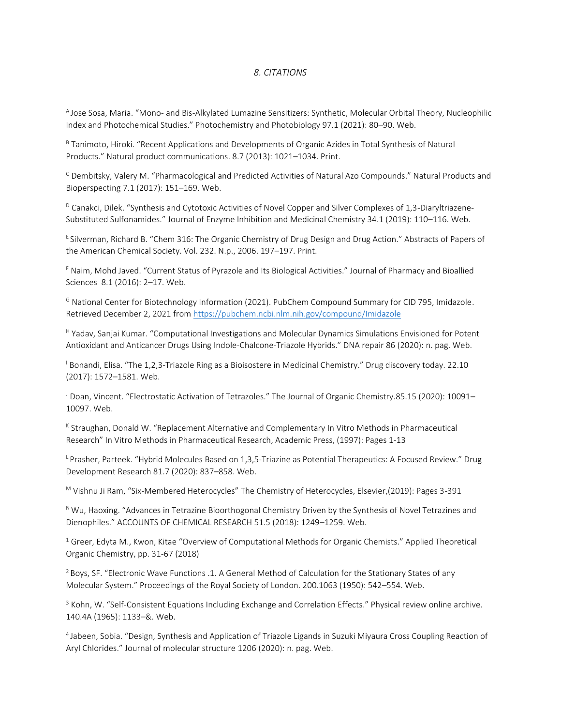#### *8. CITATIONS*

<sup>A</sup>Jose Sosa, Maria. "Mono- and Bis-Alkylated Lumazine Sensitizers: Synthetic, Molecular Orbital Theory, Nucleophilic Index and Photochemical Studies." Photochemistry and Photobiology 97.1 (2021): 80–90. Web.

B Tanimoto, Hiroki. "Recent Applications and Developments of Organic Azides in Total Synthesis of Natural Products." Natural product communications. 8.7 (2013): 1021–1034. Print.

<sup>C</sup> Dembitsky, Valery M. "Pharmacological and Predicted Activities of Natural Azo Compounds." Natural Products and Bioperspecting 7.1 (2017): 151–169. Web.

 $D$  Canakci, Dilek. "Synthesis and Cytotoxic Activities of Novel Copper and Silver Complexes of 1,3-Diaryltriazene-Substituted Sulfonamides." Journal of Enzyme Inhibition and Medicinal Chemistry 34.1 (2019): 110–116. Web.

E Silverman, Richard B. "Chem 316: The Organic Chemistry of Drug Design and Drug Action." Abstracts of Papers of the American Chemical Society. Vol. 232. N.p., 2006. 197–197. Print.

<sup>F</sup> Naim, Mohd Javed. "Current Status of Pyrazole and Its Biological Activities." Journal of Pharmacy and Bioallied Sciences 8.1 (2016): 2–17. Web.

<sup>G</sup> National Center for Biotechnology Information (2021). PubChem Compound Summary for CID 795, Imidazole. Retrieved December 2, 2021 from <https://pubchem.ncbi.nlm.nih.gov/compound/Imidazole>

<sup>H</sup> Yadav, Sanjai Kumar. "Computational Investigations and Molecular Dynamics Simulations Envisioned for Potent Antioxidant and Anticancer Drugs Using Indole-Chalcone-Triazole Hybrids." DNA repair 86 (2020): n. pag. Web.

<sup>1</sup> Bonandi, Elisa. "The 1,2,3-Triazole Ring as a Bioisostere in Medicinal Chemistry." Drug discovery today. 22.10 (2017): 1572–1581. Web.

J Doan, Vincent. "Electrostatic Activation of Tetrazoles." The Journal of Organic Chemistry.85.15 (2020): 10091-10097. Web.

<sup>K</sup> Straughan, Donald W. "Replacement Alternative and Complementary In Vitro Methods in Pharmaceutical Research" In Vitro Methods in Pharmaceutical Research, Academic Press, (1997): Pages 1-13

 $L$ Prasher, Parteek. "Hybrid Molecules Based on 1,3,5-Triazine as Potential Therapeutics: A Focused Review." Drug Development Research 81.7 (2020): 837–858. Web.

<sup>M</sup> Vishnu Ji Ram, "Six-Membered Heterocycles" The Chemistry of Heterocycles, Elsevier,(2019): Pages 3-391

<sup>N</sup> Wu, Haoxing. "Advances in Tetrazine Bioorthogonal Chemistry Driven by the Synthesis of Novel Tetrazines and Dienophiles." ACCOUNTS OF CHEMICAL RESEARCH 51.5 (2018): 1249–1259. Web.

 $1$  Greer, Edyta M., Kwon, Kitae "Overview of Computational Methods for Organic Chemists." Applied Theoretical Organic Chemistry, pp. 31-67 (2018)

<sup>2</sup> Boys, SF. "Electronic Wave Functions .1. A General Method of Calculation for the Stationary States of any Molecular System." Proceedings of the Royal Society of London. 200.1063 (1950): 542–554. Web.

<sup>3</sup> Kohn, W. "Self-Consistent Equations Including Exchange and Correlation Effects." Physical review online archive. 140.4A (1965): 1133–&. Web.

<sup>4</sup>Jabeen, Sobia. "Design, Synthesis and Application of Triazole Ligands in Suzuki Miyaura Cross Coupling Reaction of Aryl Chlorides." Journal of molecular structure 1206 (2020): n. pag. Web.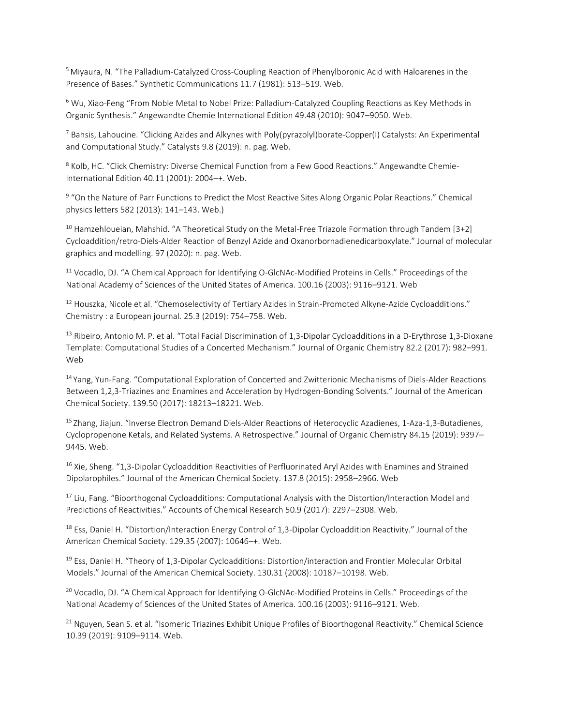<sup>5</sup> Miyaura, N. "The Palladium-Catalyzed Cross-Coupling Reaction of Phenylboronic Acid with Haloarenes in the Presence of Bases." Synthetic Communications 11.7 (1981): 513–519. Web.

<sup>6</sup> Wu, Xiao-Feng "From Noble Metal to Nobel Prize: Palladium‐Catalyzed Coupling Reactions as Key Methods in Organic Synthesis." Angewandte Chemie International Edition 49.48 (2010): 9047–9050. Web.

 $^7$  Bahsis, Lahoucine. "Clicking Azides and Alkynes with Poly(pyrazolyl)borate-Copper(I) Catalysts: An Experimental and Computational Study." Catalysts 9.8 (2019): n. pag. Web.

<sup>8</sup> Kolb, HC. "Click Chemistry: Diverse Chemical Function from a Few Good Reactions." Angewandte Chemie-International Edition 40.11 (2001): 2004–+. Web.

<sup>9</sup> "On the Nature of Parr Functions to Predict the Most Reactive Sites Along Organic Polar Reactions." Chemical physics letters 582 (2013): 141–143. Web.)

<sup>10</sup> Hamzehloueian, Mahshid. "A Theoretical Study on the Metal-Free Triazole Formation through Tandem [3+2] Cycloaddition/retro-Diels-Alder Reaction of Benzyl Azide and Oxanorbornadienedicarboxylate." Journal of molecular graphics and modelling. 97 (2020): n. pag. Web.

<sup>11</sup> Vocadlo, DJ. "A Chemical Approach for Identifying O-GlcNAc-Modified Proteins in Cells." Proceedings of the National Academy of Sciences of the United States of America. 100.16 (2003): 9116–9121. Web

<sup>12</sup> Houszka, Nicole et al. "Chemoselectivity of Tertiary Azides in Strain-Promoted Alkyne-Azide Cycloadditions." Chemistry : a European journal. 25.3 (2019): 754–758. Web.

<sup>13</sup> Ribeiro, Antonio M. P. et al. "Total Facial Discrimination of 1,3-Dipolar Cycloadditions in a D-Erythrose 1,3-Dioxane Template: Computational Studies of a Concerted Mechanism." Journal of Organic Chemistry 82.2 (2017): 982–991. Web

<sup>14</sup>Yang, Yun-Fang. "Computational Exploration of Concerted and Zwitterionic Mechanisms of Diels-Alder Reactions Between 1,2,3-Triazines and Enamines and Acceleration by Hydrogen-Bonding Solvents." Journal of the American Chemical Society. 139.50 (2017): 18213–18221. Web.

<sup>15</sup> Zhang, Jiajun. "Inverse Electron Demand Diels-Alder Reactions of Heterocyclic Azadienes, 1-Aza-1,3-Butadienes, Cyclopropenone Ketals, and Related Systems. A Retrospective." Journal of Organic Chemistry 84.15 (2019): 9397– 9445. Web.

<sup>16</sup> Xie, Sheng. "1,3-Dipolar Cycloaddition Reactivities of Perfluorinated Aryl Azides with Enamines and Strained Dipolarophiles." Journal of the American Chemical Society. 137.8 (2015): 2958–2966. Web

<sup>17</sup> Liu, Fang. "Bioorthogonal Cycloadditions: Computational Analysis with the Distortion/Interaction Model and Predictions of Reactivities." Accounts of Chemical Research 50.9 (2017): 2297–2308. Web.

<sup>18</sup> Ess, Daniel H. "Distortion/Interaction Energy Control of 1,3-Dipolar Cycloaddition Reactivity." Journal of the American Chemical Society. 129.35 (2007): 10646–+. Web.

<sup>19</sup> Ess, Daniel H. "Theory of 1,3-Dipolar Cycloadditions: Distortion/interaction and Frontier Molecular Orbital Models." Journal of the American Chemical Society. 130.31 (2008): 10187–10198. Web.

<sup>20</sup> Vocadlo, DJ. "A Chemical Approach for Identifying O-GlcNAc-Modified Proteins in Cells." Proceedings of the National Academy of Sciences of the United States of America. 100.16 (2003): 9116–9121. Web.

<sup>21</sup> Nguyen, Sean S. et al. "Isomeric Triazines Exhibit Unique Profiles of Bioorthogonal Reactivity." Chemical Science 10.39 (2019): 9109–9114. Web.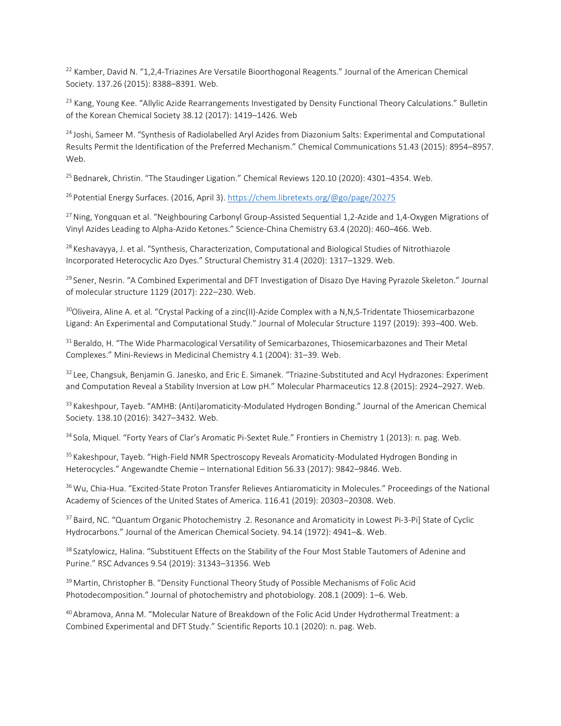$22$  Kamber, David N. "1,2,4-Triazines Are Versatile Bioorthogonal Reagents." Journal of the American Chemical Society. 137.26 (2015): 8388–8391. Web.

<sup>23</sup> Kang, Young Kee. "Allylic Azide Rearrangements Investigated by Density Functional Theory Calculations." Bulletin of the Korean Chemical Society 38.12 (2017): 1419–1426. Web

<sup>24</sup> Joshi, Sameer M. "Synthesis of Radiolabelled Aryl Azides from Diazonium Salts: Experimental and Computational Results Permit the Identification of the Preferred Mechanism." Chemical Communications 51.43 (2015): 8954–8957. Web.

<sup>25</sup> Bednarek, Christin. "The Staudinger Ligation." Chemical Reviews 120.10 (2020): 4301-4354. Web.

<sup>26</sup> Potential Energy Surfaces. (2016, April 3)[. https://chem.libretexts.org/@go/page/20275](https://chem.libretexts.org/@go/page/20275)

<sup>27</sup> Ning, Yongquan et al. "Neighbouring Carbonyl Group-Assisted Sequential 1,2-Azide and 1,4-Oxygen Migrations of Vinyl Azides Leading to Alpha-Azido Ketones." Science-China Chemistry 63.4 (2020): 460–466. Web.

<sup>28</sup> Keshavayya, J. et al. "Synthesis, Characterization, Computational and Biological Studies of Nitrothiazole Incorporated Heterocyclic Azo Dyes." Structural Chemistry 31.4 (2020): 1317–1329. Web.

<sup>29</sup> Sener, Nesrin. "A Combined Experimental and DFT Investigation of Disazo Dye Having Pyrazole Skeleton." Journal of molecular structure 1129 (2017): 222–230. Web.

 $30$ Oliveira, Aline A. et al. "Crystal Packing of a zinc(II)-Azide Complex with a N,N,S-Tridentate Thiosemicarbazone Ligand: An Experimental and Computational Study." Journal of Molecular Structure 1197 (2019): 393–400. Web.

 $31$  Beraldo, H. "The Wide Pharmacological Versatility of Semicarbazones, Thiosemicarbazones and Their Metal Complexes." Mini-Reviews in Medicinal Chemistry 4.1 (2004): 31–39. Web.

<sup>32</sup> Lee, Changsuk, Benjamin G. Janesko, and Eric E. Simanek. "Triazine-Substituted and Acyl Hydrazones: Experiment and Computation Reveal a Stability Inversion at Low pH." Molecular Pharmaceutics 12.8 (2015): 2924–2927. Web.

<sup>33</sup> Kakeshpour, Tayeb. "AMHB: (Anti)aromaticity-Modulated Hydrogen Bonding." Journal of the American Chemical Society. 138.10 (2016): 3427–3432. Web.

34 Sola, Miquel. "Forty Years of Clar's Aromatic Pi-Sextet Rule." Frontiers in Chemistry 1 (2013): n. pag. Web.

<sup>35</sup> Kakeshpour, Tayeb. "High-Field NMR Spectroscopy Reveals Aromaticity-Modulated Hydrogen Bonding in Heterocycles." Angewandte Chemie – International Edition 56.33 (2017): 9842–9846. Web.

<sup>36</sup> Wu, Chia-Hua. "Excited-State Proton Transfer Relieves Antiaromaticity in Molecules." Proceedings of the National Academy of Sciences of the United States of America. 116.41 (2019): 20303–20308. Web.

<sup>37</sup> Baird, NC. "Quantum Organic Photochemistry .2. Resonance and Aromaticity in Lowest Pi-3-Pi] State of Cyclic Hydrocarbons." Journal of the American Chemical Society. 94.14 (1972): 4941–&. Web.

<sup>38</sup> Szatylowicz, Halina. "Substituent Effects on the Stability of the Four Most Stable Tautomers of Adenine and Purine." RSC Advances 9.54 (2019): 31343–31356. Web

<sup>39</sup> Martin, Christopher B. "Density Functional Theory Study of Possible Mechanisms of Folic Acid Photodecomposition." Journal of photochemistry and photobiology. 208.1 (2009): 1–6. Web.

<sup>40</sup> Abramova, Anna M. "Molecular Nature of Breakdown of the Folic Acid Under Hydrothermal Treatment: a Combined Experimental and DFT Study." Scientific Reports 10.1 (2020): n. pag. Web.